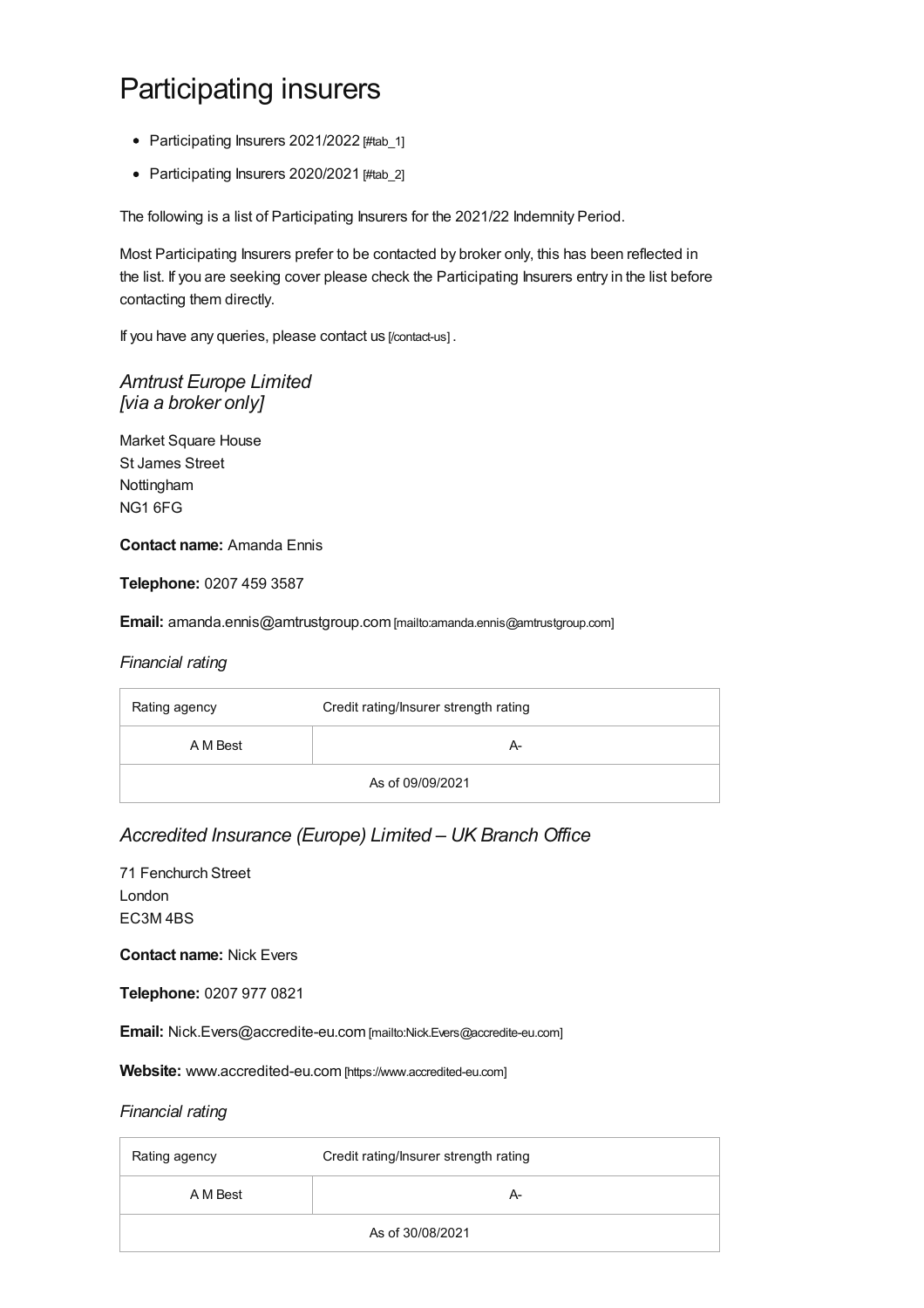# Participating insurers

- [Participating](#page-8-0) Insurers 2021/2022 [#tab\_1]
- [Participating](#page-23-0) Insurers 2020/2021 [#tab\_2]

The following is a list of Participating Insurers for the 2021/22 Indemnity Period.

Most Participating Insurers prefer to be contacted by broker only, this has been reflected in the list. If you are seeking cover please check the Participating Insurers entry in the list before contacting them directly.

If you have any queries, please contact us [\[/contact-us\]](https://www.sra.org.uk/contact-us) .

### *Amtrust Europe Limited [via a broker only]*

Market Square House St James Street Nottingham NG1 6FG

#### **Contact name:** Amanda Ennis

**Telephone:** 0207 459 3587

**Email:** [amanda.ennis@amtrustgroup.com](mailto:amanda.ennis@amtrustgroup.com) [mailto:amanda.ennis@amtrustgroup.com]

#### *Financial rating*

| Rating agency    | Credit rating/Insurer strength rating |
|------------------|---------------------------------------|
| A M Best         | А-                                    |
| As of 09/09/2021 |                                       |

### *Accredited Insurance (Europe) Limited – UK Branch Office*

71 Fenchurch Street London EC3M 4BS

**Contact name:** Nick Evers

**Telephone:** 0207 977 0821

**Email:** [Nick.Evers@accredite-eu.com](mailto:Nick.Evers@accredite-eu.com) [mailto:Nick.Evers@accredite-eu.com]

**Website:** [www.accredited-eu.com](https://www.accredited-eu.com) [https://www.accredited-eu.com]

| Rating agency    | Credit rating/Insurer strength rating |
|------------------|---------------------------------------|
| A M Best         | А-                                    |
| As of 30/08/2021 |                                       |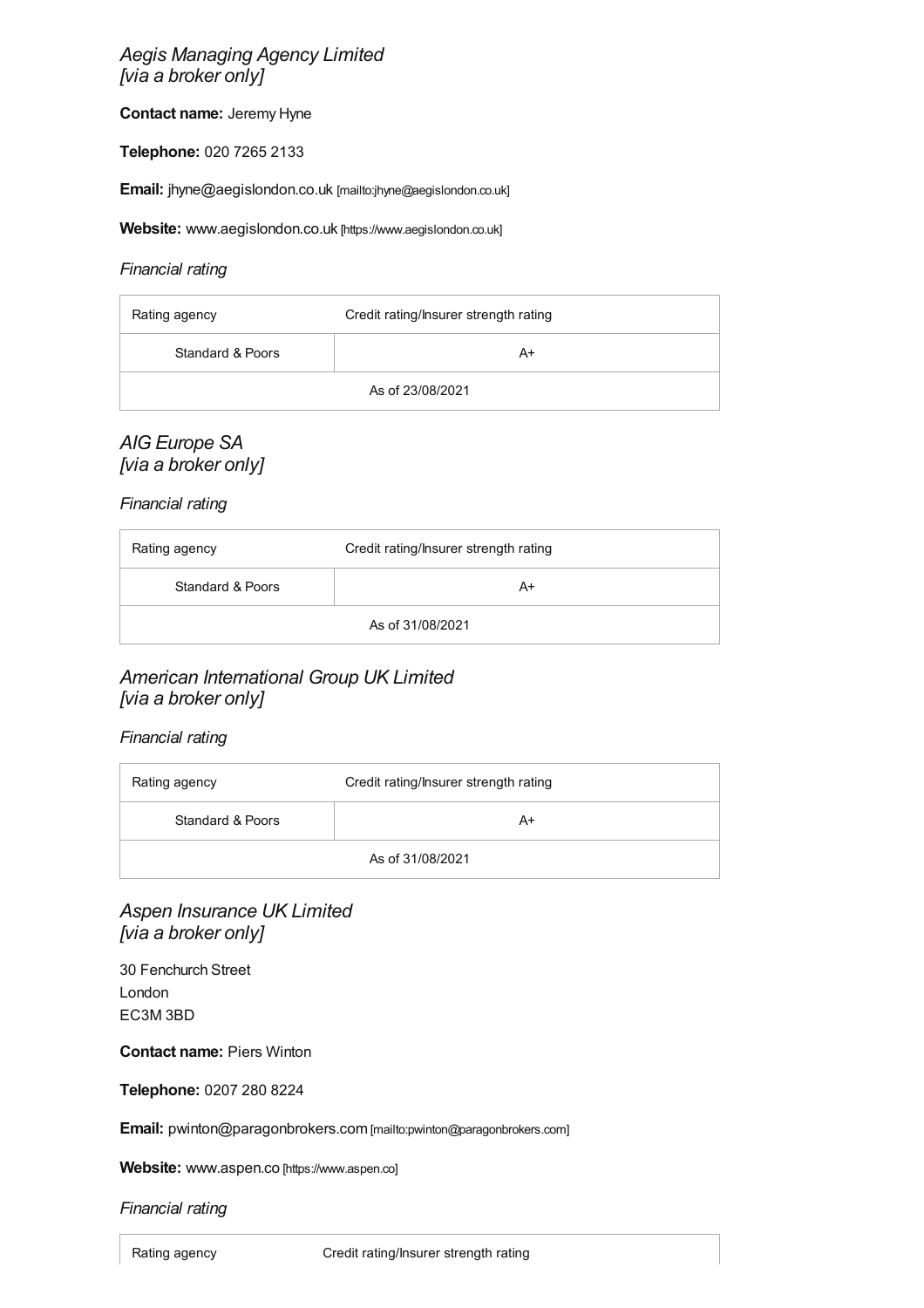### *Aegis Managing Agency Limited [via a broker only]*

**Contact name:** Jeremy Hyne

**Telephone:** 020 7265 2133

**Email:** [jhyne@aegislondon.co.uk](mailto:jhyne@aegislondon.co.uk) [mailto:jhyne@aegislondon.co.uk]

**Website:** [www.aegislondon.co.uk](https://www.aegislondon.co.uk) [https://www.aegislondon.co.uk]

#### *Financial rating*

| Rating agency    | Credit rating/Insurer strength rating |
|------------------|---------------------------------------|
| Standard & Poors | A+                                    |
| As of 23/08/2021 |                                       |

### *AIG Europe SA [via a broker only]*

*Financial rating*

| Rating agency    | Credit rating/Insurer strength rating |
|------------------|---------------------------------------|
| Standard & Poors | A+                                    |
| As of 31/08/2021 |                                       |

### *American International Group UK Limited [via a broker only]*

#### *Financial rating*

| Rating agency    | Credit rating/Insurer strength rating |
|------------------|---------------------------------------|
| Standard & Poors | A+                                    |
| As of 31/08/2021 |                                       |

### *Aspen Insurance UK Limited [via a broker only]*

30 Fenchurch Street London EC3M 3BD

**Contact name:** Piers Winton

**Telephone:** 0207 280 8224

**Email:** [pwinton@paragonbrokers.com](mailto:pwinton@paragonbrokers.com) [mailto:pwinton@paragonbrokers.com]

Website: www.aspen.co [\[https://www.aspen.co\]](https://www.aspen.co)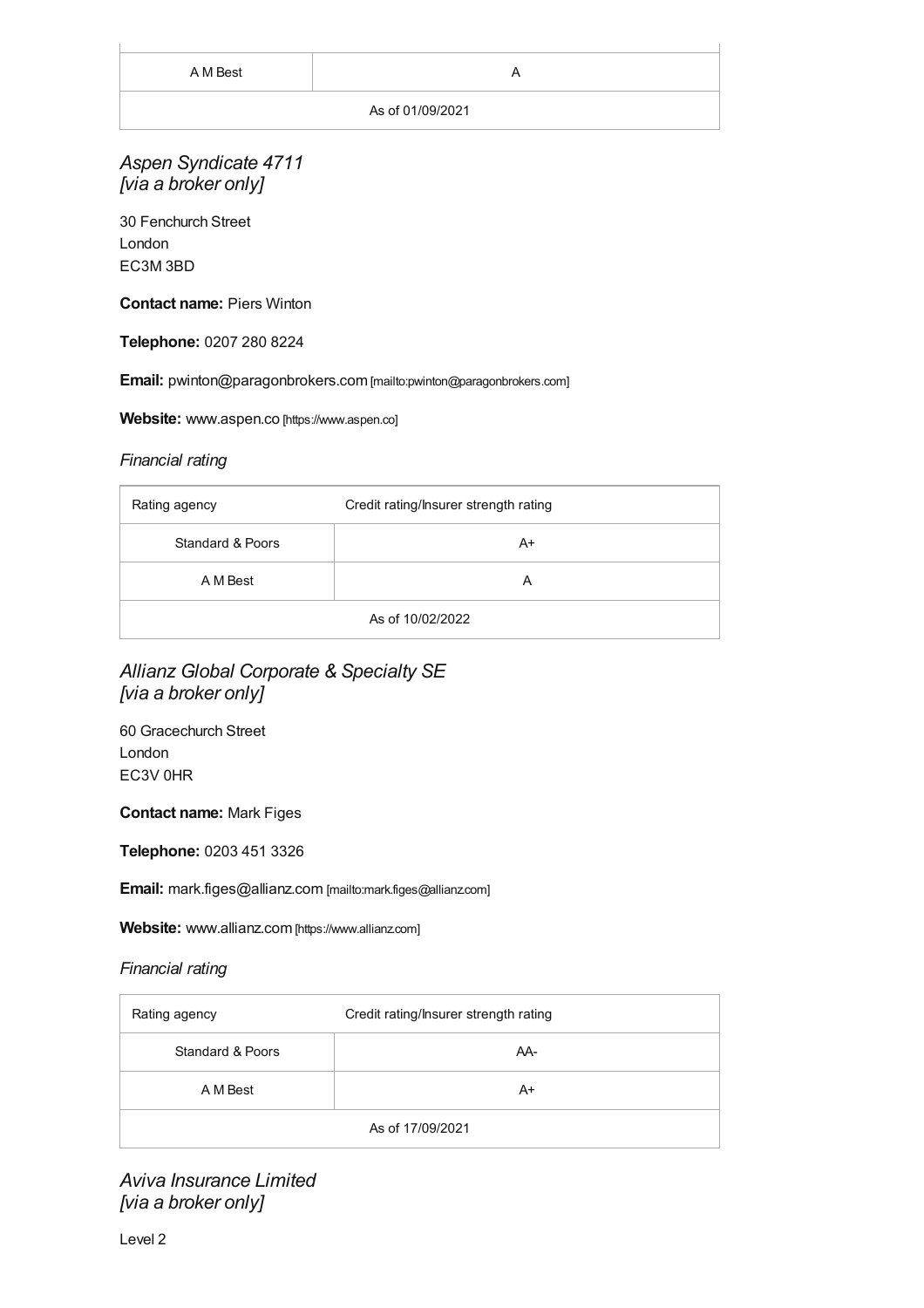#### As of 01/09/2021

### *Aspen Syndicate 4711 [via a broker only]*

30 Fenchurch Street London EC3M 3BD

#### **Contact name:** Piers Winton

#### **Telephone:** 0207 280 8224

**Email:** [pwinton@paragonbrokers.com](mailto:pwinton@paragonbrokers.com) [mailto:pwinton@paragonbrokers.com]

#### **Website:** www.aspen.co [\[https://www.aspen.co\]](https://www.aspen.co)

#### *Financial rating*

| Rating agency    | Credit rating/Insurer strength rating |
|------------------|---------------------------------------|
| Standard & Poors | A+                                    |
| A M Best         | A                                     |
| As of 10/02/2022 |                                       |

### *Allianz Global Corporate & Specialty SE [via a broker only]*

60 Gracechurch Street London EC3V 0HR

#### **Contact name:** Mark Figes

**Telephone:** 0203 451 3326

**Email:** [mark.figes@allianz.com](mailto:mark.figes@allianz.com) [mailto:mark.figes@allianz.com]

**Website:** [www.allianz.com](https://www.allianz.com) [https://www.allianz.com]

#### *Financial rating*

| Rating agency    | Credit rating/Insurer strength rating |
|------------------|---------------------------------------|
| Standard & Poors | AA-                                   |
| A M Best         | A+                                    |
| As of 17/09/2021 |                                       |

*Aviva Insurance Limited [via a broker only]*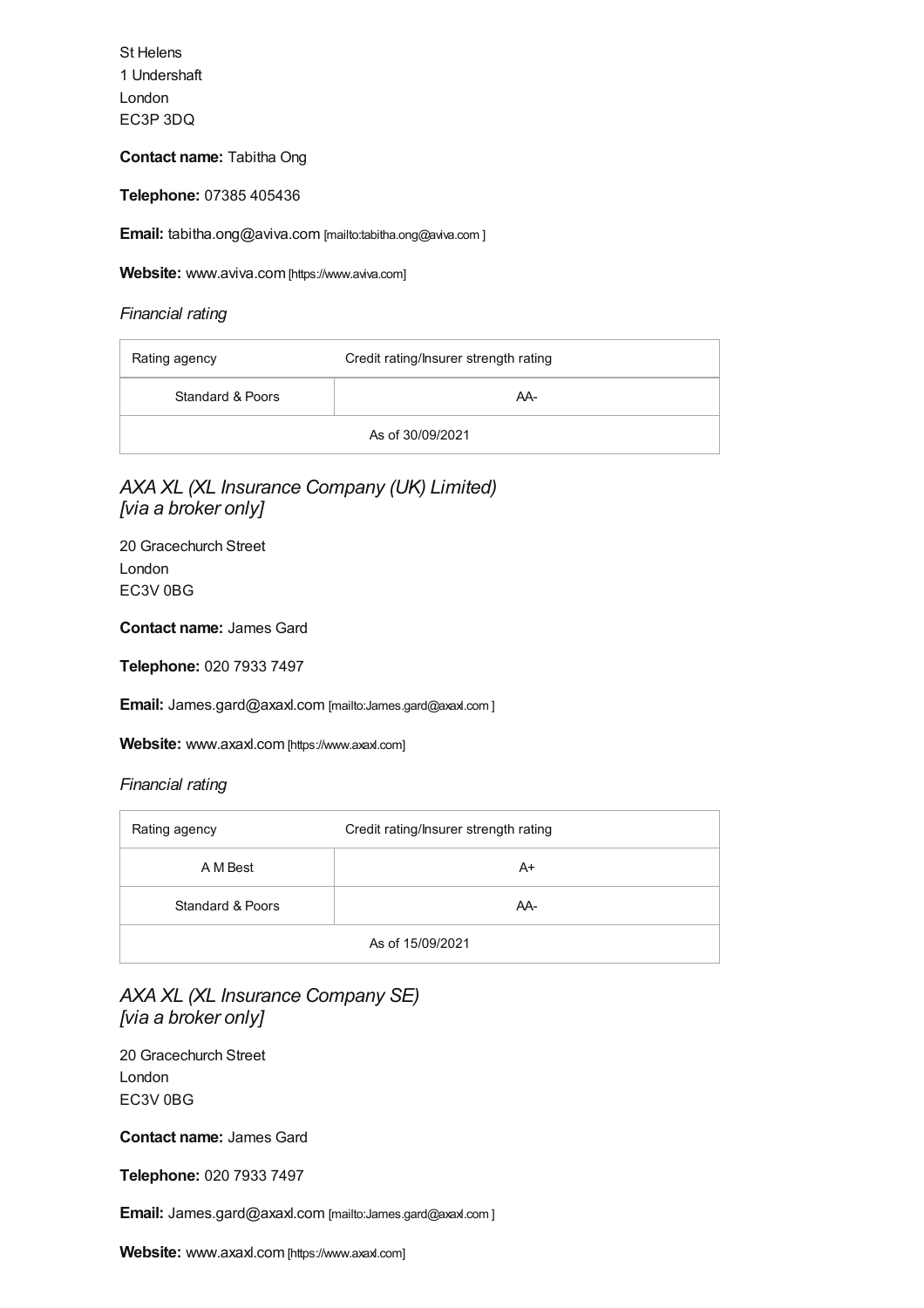St Helens 1 Undershaft London EC3P 3DQ

#### **Contact name:** Tabitha Ong

**Telephone:** 07385 405436

**Email:** [tabitha.ong@aviva.com](mailto:tabitha.ong@aviva.com
	) [mailto:tabitha.ong@aviva.com ]

**Website:** [www.aviva.com](https://www.aviva.com) [https://www.aviva.com]

*Financial rating*

| Rating agency    | Credit rating/Insurer strength rating |
|------------------|---------------------------------------|
| Standard & Poors | AA-                                   |
| As of 30/09/2021 |                                       |

### *AXA XL (XL Insurance Company (UK) Limited) [via a broker only]*

20 Gracechurch Street London EC3V 0BG

#### **Contact name:** James Gard

**Telephone:** 020 7933 7497

**Email:** [James.gard@axaxl.com](mailto:James.gard@axaxl.com
	) [mailto:James.gard@axaxl.com ]

Website: [www.axaxl.com](https://www.axaxl.com) [https://www.axaxl.com]

| Rating agency    | Credit rating/Insurer strength rating |
|------------------|---------------------------------------|
| A M Best         | A+                                    |
| Standard & Poors | AA-                                   |
| As of 15/09/2021 |                                       |

### *AXA XL (XL Insurance Company SE) [via a broker only]*

20 Gracechurch Street London EC3V 0BG

**Contact name:** James Gard

**Telephone:** 020 7933 7497

**Email:** [James.gard@axaxl.com](mailto:James.gard@axaxl.com
	) [mailto:James.gard@axaxl.com ]

**Website:** [www.axaxl.com](https://www.axaxl.com) [https://www.axaxl.com]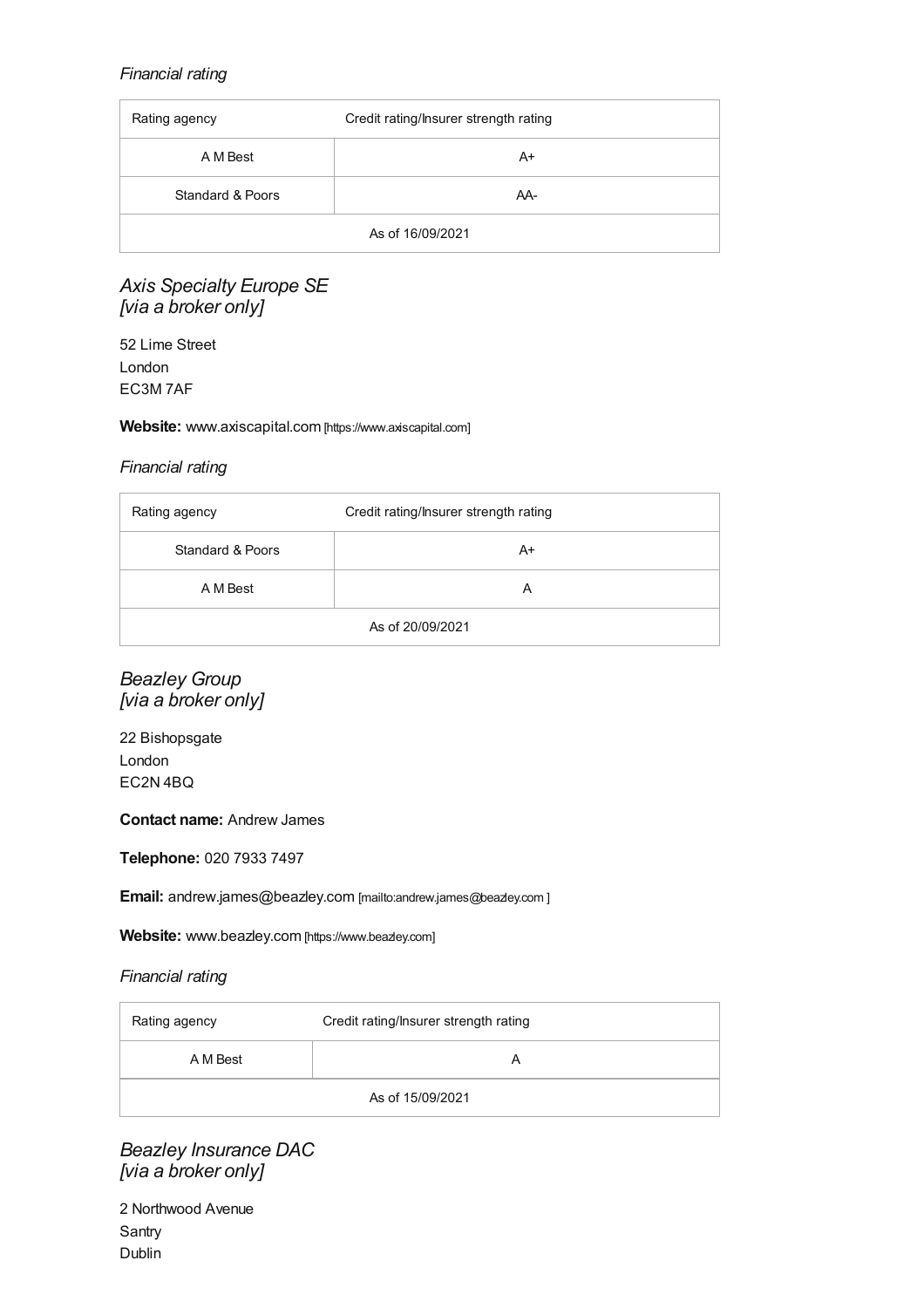### *Financial rating*

| Rating agency    | Credit rating/Insurer strength rating |
|------------------|---------------------------------------|
| A M Best         | $A+$                                  |
| Standard & Poors | AA-                                   |
| As of 16/09/2021 |                                       |

### *Axis Specialty Europe SE [via a broker only]*

52 Lime Street London EC3M 7AF

#### **Website:** [www.axiscapital.com](https://www.axiscapital.com) [https://www.axiscapital.com]

#### *Financial rating*

| Rating agency    | Credit rating/Insurer strength rating |
|------------------|---------------------------------------|
| Standard & Poors | A+                                    |
| A M Best         | A                                     |
| As of 20/09/2021 |                                       |

*Beazley Group [via a broker only]*

22 Bishopsgate London EC2N 4BQ

#### **Contact name:** Andrew James

**Telephone:** 020 7933 7497

**Email:** [andrew.james@beazley.com](mailto:andrew.james@beazley.com

	) [mailto:andrew.james@beazley.com]

Website: [www.beazley.com](https://www.beazley.com) [https://www.beazley.com]

#### *Financial rating*

| Rating agency    | Credit rating/Insurer strength rating |
|------------------|---------------------------------------|
| A M Best         |                                       |
| As of 15/09/2021 |                                       |

*Beazley Insurance DAC [via a broker only]*

| 2 Northwood Avenue |
|--------------------|
| Santry             |
| Dublin             |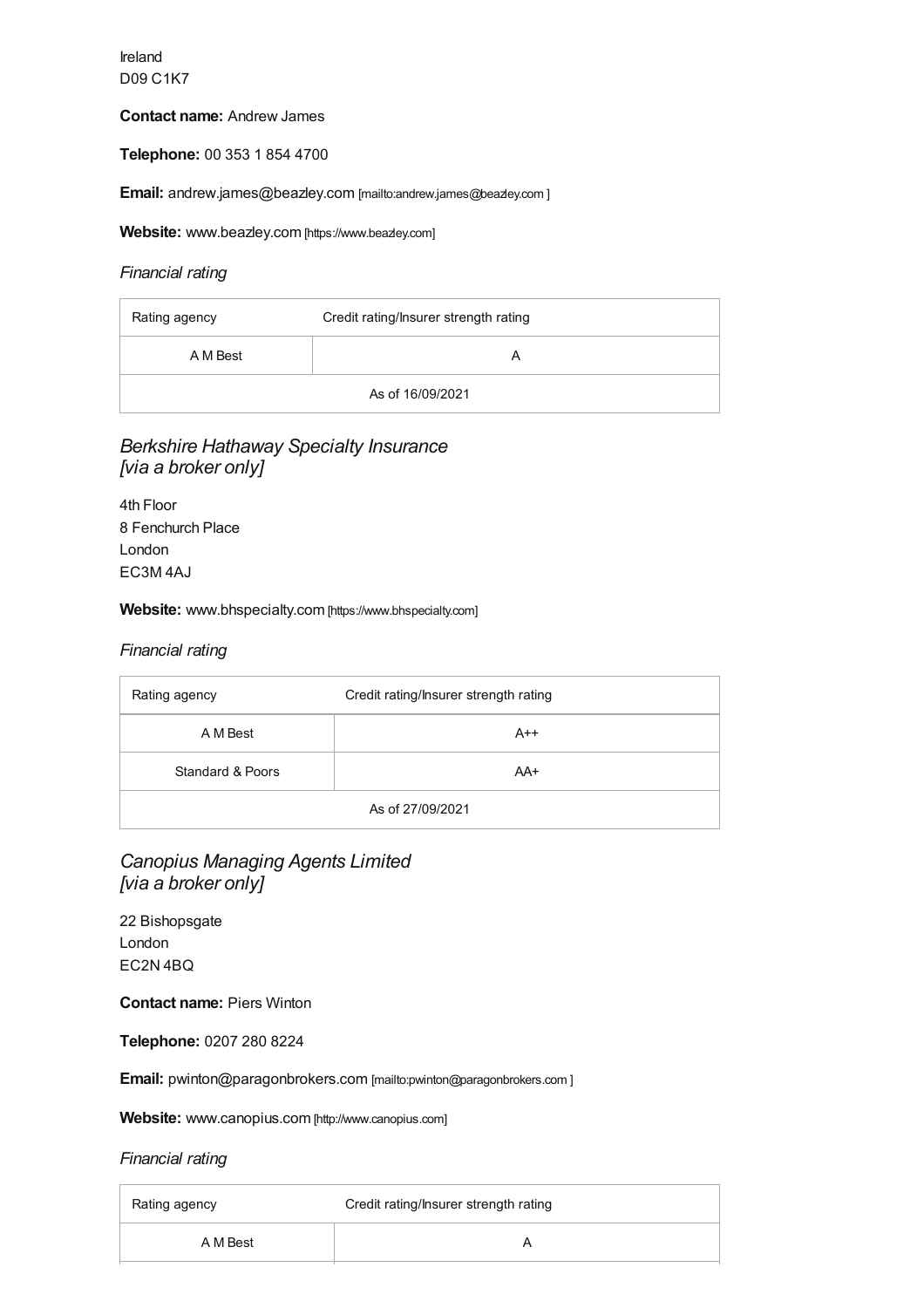Ireland D09 C1K7

#### **Contact name:** Andrew James

**Telephone:** 00 353 1 854 4700

**Email:** [andrew.james@beazley.com](mailto:andrew.james@beazley.com

	) [mailto:andrew.james@beazley.com ]

**Website:** [www.beazley.com](https://www.beazley.com) [https://www.beazley.com]

#### *Financial rating*

| Rating agency    | Credit rating/Insurer strength rating |
|------------------|---------------------------------------|
| A M Best         |                                       |
| As of 16/09/2021 |                                       |

### *Berkshire Hathaway Specialty Insurance [via a broker only]*

4th Floor 8 Fenchurch Place London EC3M 4AJ

#### **Website:** [www.bhspecialty.com](https://www.bhspecialty.com) [https://www.bhspecialty.com]

#### *Financial rating*

| Rating agency    | Credit rating/Insurer strength rating |
|------------------|---------------------------------------|
| A M Best         | $A++$                                 |
| Standard & Poors | AA+                                   |
| As of 27/09/2021 |                                       |

### *Canopius Managing Agents Limited [via a broker only]*

22 Bishopsgate London EC2N 4BQ

**Contact name:** Piers Winton

**Telephone:** 0207 280 8224

**Email:** [pwinton@paragonbrokers.com](mailto:pwinton@paragonbrokers.com
) [mailto:pwinton@paragonbrokers.com ]

**Website:** [www.canopius.com](http://www.canopius.com) [http://www.canopius.com]

| Rating agency | Credit rating/Insurer strength rating |
|---------------|---------------------------------------|
| A M Best      |                                       |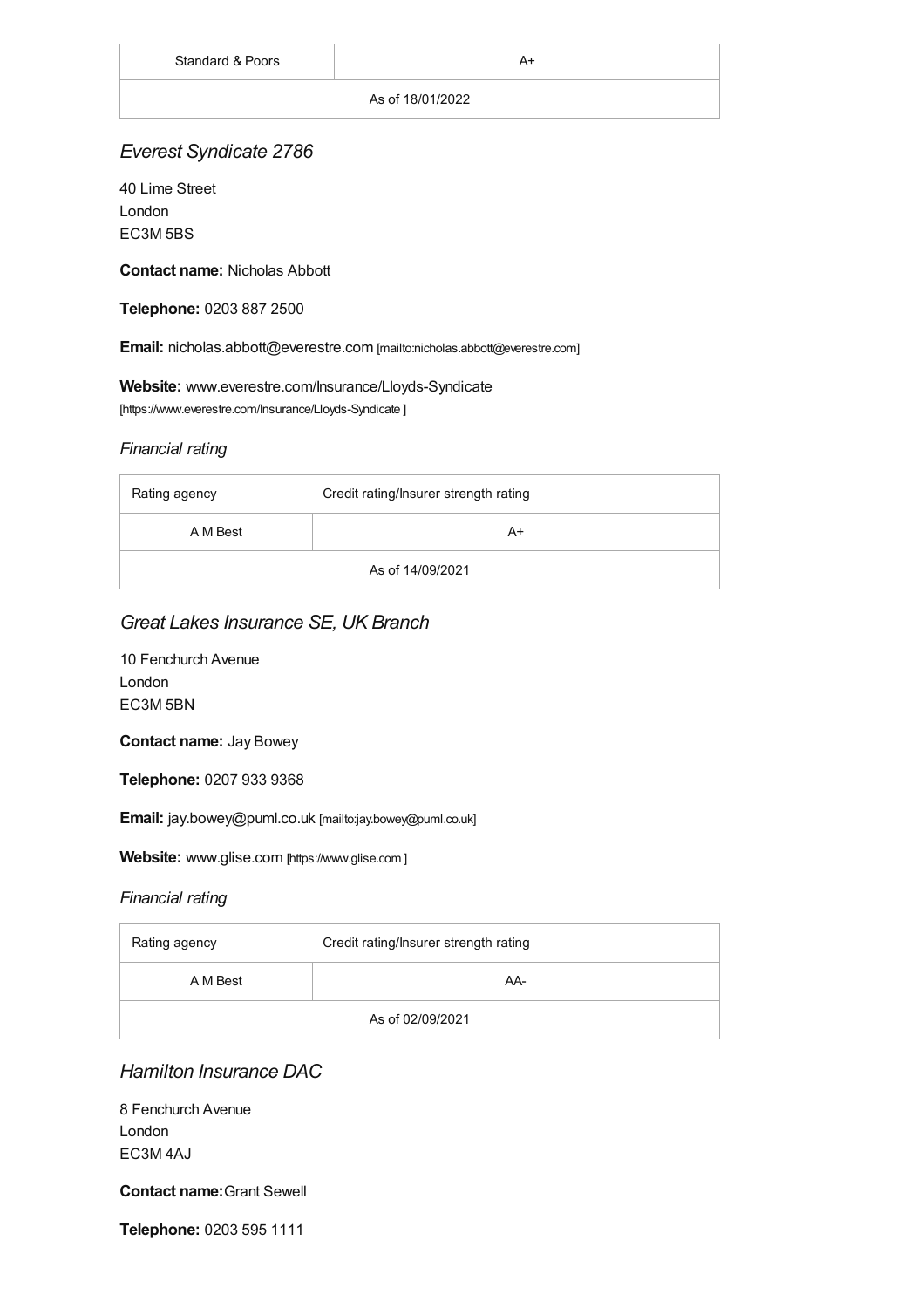#### As of 18/01/2022

### *Everest Syndicate 2786*

40 Lime Street London EC3M 5BS

**Contact name:** Nicholas Abbott

**Telephone:** 0203 887 2500

**Email:** [nicholas.abbott@everestre.com](mailto:nicholas.abbott@everestre.com) [mailto:nicholas.abbott@everestre.com]

**Website:** [www.everestre.com/Insurance/Lloyds-Syndicate](https://www.everestre.com/Insurance/Lloyds-Syndicate
	) [https://www.everestre.com/Insurance/Lloyds-Syndicate ]

### *Financial rating*

| Rating agency    | Credit rating/Insurer strength rating |
|------------------|---------------------------------------|
| A M Best         | A+                                    |
| As of 14/09/2021 |                                       |

### *Great Lakes Insurance SE, UK Branch*

| 10 Fenchurch Avenue |
|---------------------|
| London              |
| EC3M 5BN            |

**Contact name:** Jay Bowey

**Telephone:** 0207 933 9368

**Email:** [jay.bowey@puml.co.uk](mailto:jay.bowey@puml.co.uk) [mailto:jay.bowey@puml.co.uk]

Website: [www.glise.com](#page-16-0) [https://www.glise.com ]

### *Financial rating*

| Rating agency    | Credit rating/Insurer strength rating |
|------------------|---------------------------------------|
| A M Best         | AA-                                   |
| As of 02/09/2021 |                                       |

### *Hamilton Insurance DAC*

8 Fenchurch Avenue London EC3M 4AJ

### **Contact name:**Grant Sewell

**Telephone:** 0203 595 1111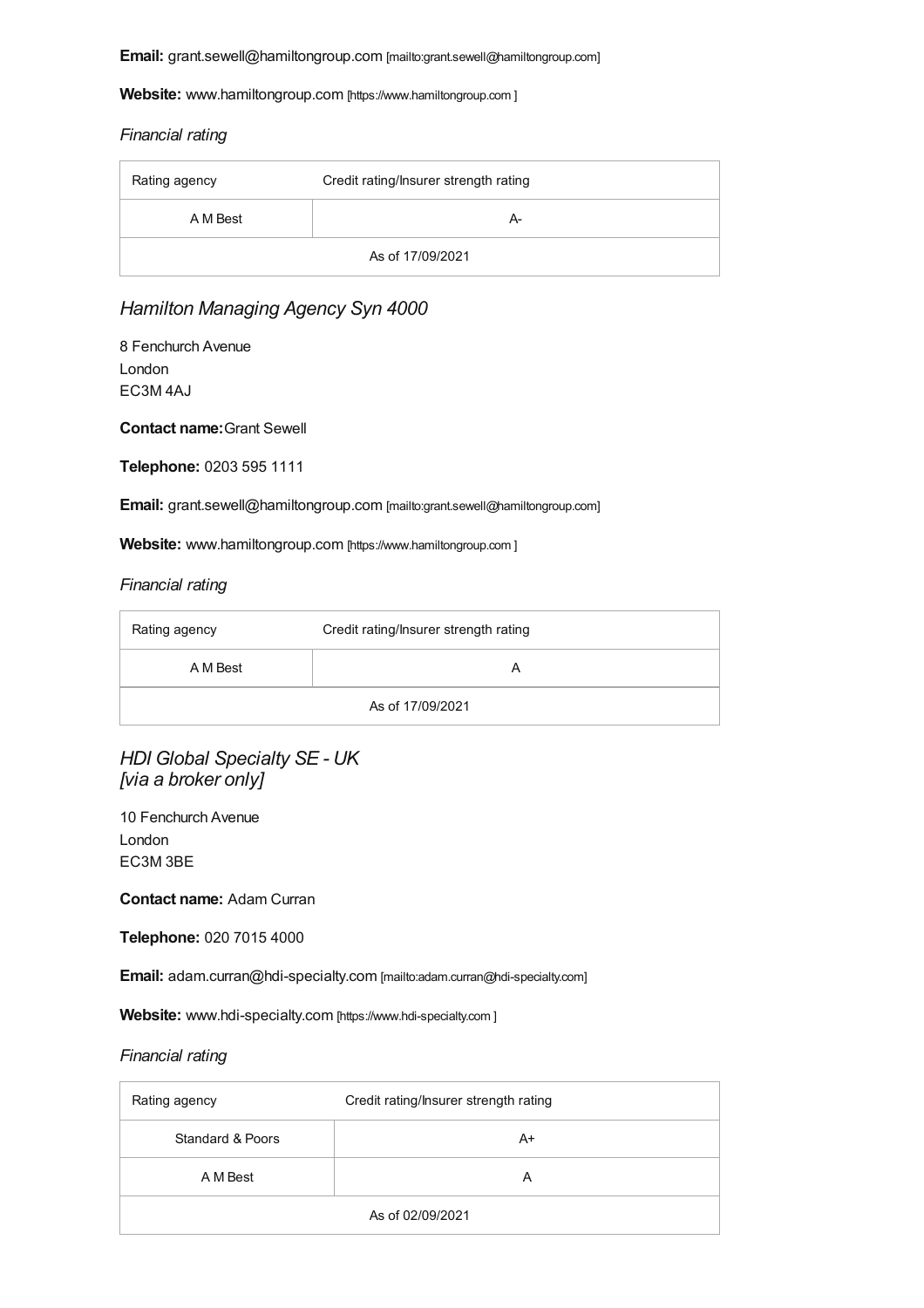**Email:** [grant.sewell@hamiltongroup.com](mailto:grant.sewell@hamiltongroup.com) [mailto:grant.sewell@hamiltongroup.com]

**Website:** [www.hamiltongroup.com](#page-16-0) [https://www.hamiltongroup.com ]

#### *Financial rating*

| Rating agency    | Credit rating/Insurer strength rating |
|------------------|---------------------------------------|
| A M Best         | А-                                    |
| As of 17/09/2021 |                                       |

### *Hamilton Managing Agency Syn 4000*

8 Fenchurch Avenue London EC3M 4AJ

**Contact name:**Grant Sewell

**Telephone:** 0203 595 1111

**Email:** [grant.sewell@hamiltongroup.com](mailto:grant.sewell@hamiltongroup.com) [mailto:grant.sewell@hamiltongroup.com]

**Website:** [www.hamiltongroup.com](#page-16-0) [https://www.hamiltongroup.com ]

#### *Financial rating*

| Rating agency    | Credit rating/Insurer strength rating |
|------------------|---------------------------------------|
| A M Best         |                                       |
| As of 17/09/2021 |                                       |

*HDI Global Specialty SE - UK [via a broker only]*

10 Fenchurch Avenue London EC3M 3BE

**Contact name:** Adam Curran

**Telephone:** 020 7015 4000

**Email:** [adam.curran@hdi-specialty.com](mailto:adam.curran@hdi-specialty.com) [mailto:adam.curran@hdi-specialty.com]

**Website:** [www.hdi-specialty.com](#page-16-0) [https://www.hdi-specialty.com]

| Rating agency    | Credit rating/Insurer strength rating |
|------------------|---------------------------------------|
| Standard & Poors | A+                                    |
| A M Best         | A                                     |
| As of 02/09/2021 |                                       |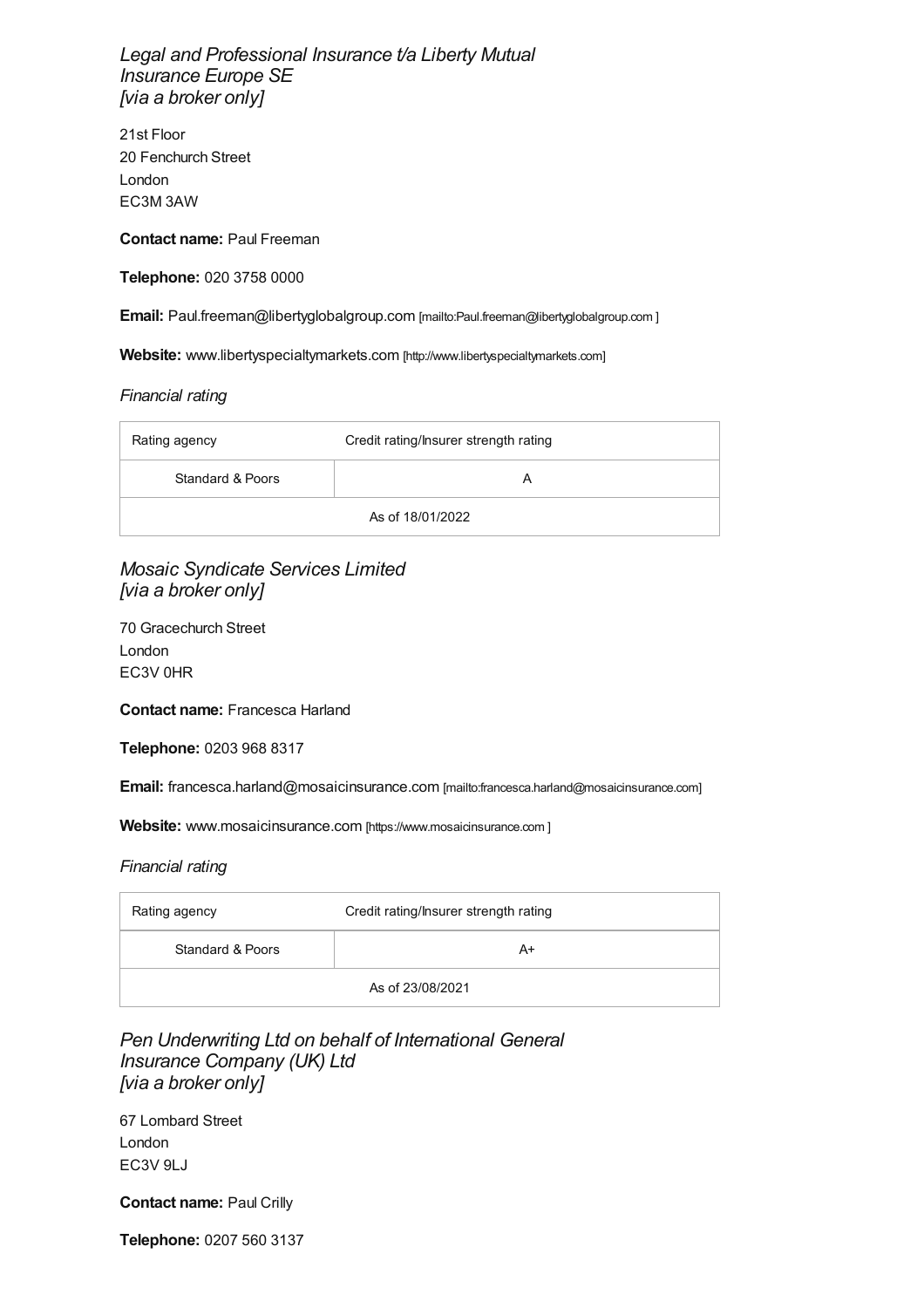<span id="page-8-0"></span>*Legal and Professional Insurance t/a Liberty Mutual Insurance Europe SE [via a broker only]*

21st Floor 20 Fenchurch Street London EC3M 3AW

**Contact name:** Paul Freeman

**Telephone:** 020 3758 0000

**Email:** [Paul.freeman@libertyglobalgroup.com](mailto:Paul.freeman@libertyglobalgroup.com
) [mailto:Paul.freeman@ibertyglobalgroup.com]

**Website:** [www.libertyspecialtymarkets.com](http://www.libertyspecialtymarkets.com) [http://www.libertyspecialtymarkets.com]

#### *Financial rating*

| Rating agency    | Credit rating/Insurer strength rating |
|------------------|---------------------------------------|
| Standard & Poors | А                                     |
| As of 18/01/2022 |                                       |

*Mosaic Syndicate Services Limited [via a broker only]*

70 Gracechurch Street London EC3V 0HR

**Contact name:** Francesca Harland

**Telephone:** 0203 968 8317

**Email:** [francesca.harland@mosaicinsurance.com](mailto:francesca.harland@mosaicinsurance.com) [mailto:francesca.harland@mosaicinsurance.com]

**Website:** [www.mosaicinsurance.com](#page-16-0) [https://www.mosaicinsurance.com ]

#### *Financial rating*

| Rating agency    | Credit rating/Insurer strength rating |
|------------------|---------------------------------------|
| Standard & Poors | A+                                    |
| As of 23/08/2021 |                                       |

### *Pen Underwriting Ltd on behalf of International General Insurance Company (UK) Ltd [via a broker only]*

67 Lombard Street London EC3V 9LJ

**Contact name:** Paul Crilly

**Telephone:** 0207 560 3137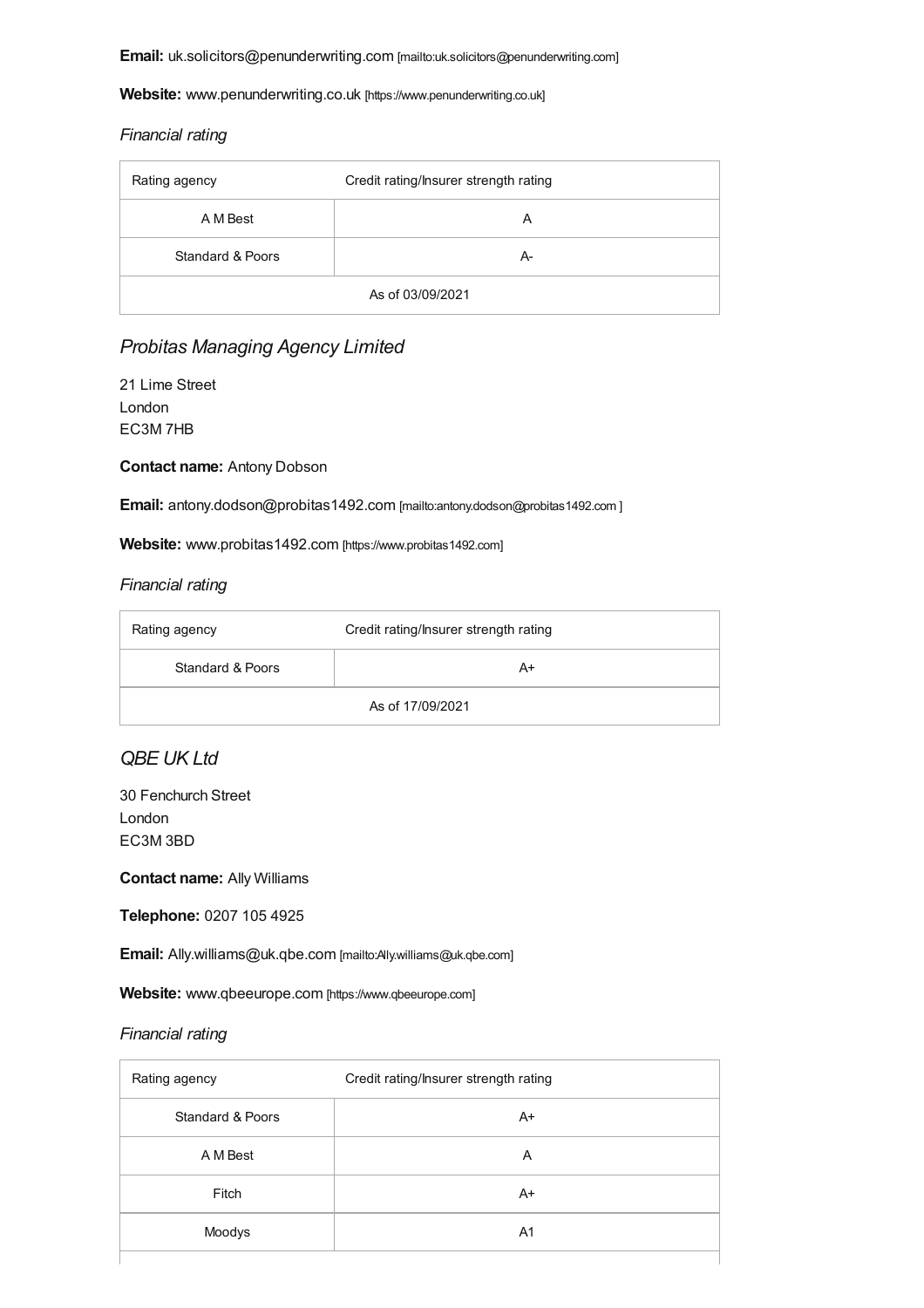**Email:** [uk.solicitors@penunderwriting.com](mailto:uk.solicitors@penunderwriting.com) [mailto:uk.solicitors@penunderwriting.com]

Website: [www.penunderwriting.co.uk](https://www.penunderwriting.co.uk) [https://www.penunderwriting.co.uk]

#### *Financial rating*

| Rating agency    | Credit rating/Insurer strength rating |
|------------------|---------------------------------------|
| A M Best         | A                                     |
| Standard & Poors | А-                                    |
| As of 03/09/2021 |                                       |

### *Probitas Managing Agency Limited*

21 Lime Street London EC3M 7HB

#### **Contact name:** Antony Dobson

**Email:** [antony.dodson@probitas1492.com](mailto:antony.dodson@probitas1492.com
) [mailto:antony.dodson@probitas1492.com ]

Website: [www.probitas1492.com](https://www.probitas1492.com) [https://www.probitas1492.com]

#### *Financial rating*

| Rating agency    | Credit rating/Insurer strength rating |
|------------------|---------------------------------------|
| Standard & Poors | A+                                    |
| As of 17/09/2021 |                                       |

### *QBE UK Ltd*

30 Fenchurch Street London EC3M 3BD

**Contact name:** Ally Williams

**Telephone:** 0207 105 4925

**Email:** [Ally.williams@uk.qbe.com](mailto:Ally.williams@uk.qbe.com) [mailto:Ally.williams@uk.qbe.com]

Website: [www.qbeeurope.com](https://www.qbeeurope.com) [https://www.qbeeurope.com]

| Rating agency    | Credit rating/Insurer strength rating |
|------------------|---------------------------------------|
| Standard & Poors | $A+$                                  |
| A M Best         | A                                     |
| Fitch            | $A+$                                  |
| Moodys           | A <sub>1</sub>                        |
|                  |                                       |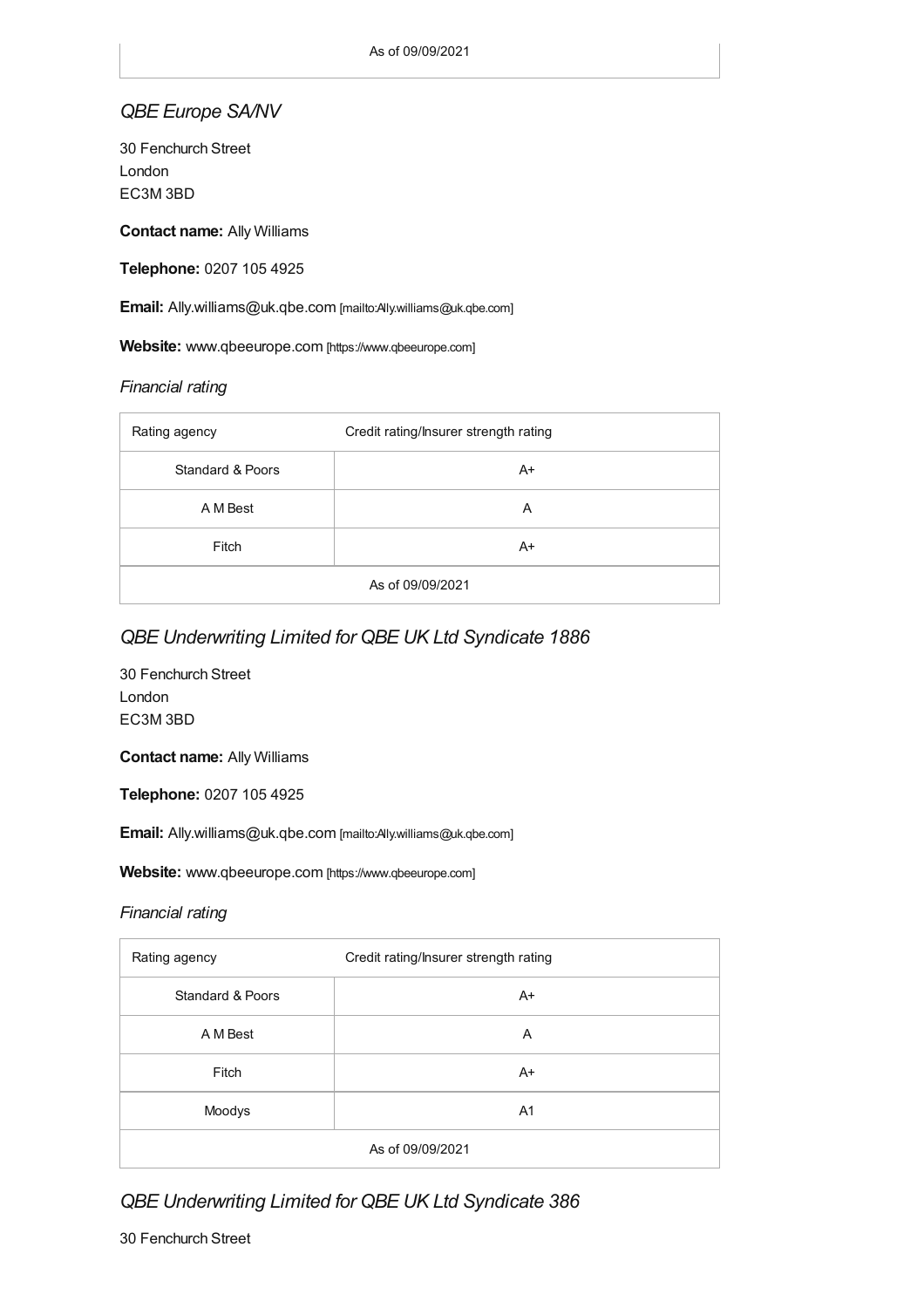### *QBE Europe SA/NV*

30 Fenchurch Street London EC3M 3BD

**Contact name:** Ally Williams

**Telephone:** 0207 105 4925

**Email:** [Ally.williams@uk.qbe.com](mailto:Ally.williams@uk.qbe.com) [mailto:Ally.williams@uk.qbe.com]

Website: [www.qbeeurope.com](https://www.qbeeurope.com) [https://www.qbeeurope.com]

#### *Financial rating*

| Rating agency               | Credit rating/Insurer strength rating |
|-----------------------------|---------------------------------------|
| <b>Standard &amp; Poors</b> | A+                                    |
| A M Best                    | A                                     |
| Fitch                       | $A+$                                  |
| As of 09/09/2021            |                                       |

### *QBE Underwriting Limited for QBE UK Ltd Syndicate 1886*

30 Fenchurch Street London EC3M 3BD

**Contact name:** Ally Williams

**Telephone:** 0207 105 4925

**Email:** [Ally.williams@uk.qbe.com](mailto:Ally.williams@uk.qbe.com) [mailto:Ally.williams@uk.qbe.com]

Website: [www.qbeeurope.com](https://www.qbeeurope.com) [https://www.qbeeurope.com]

#### *Financial rating*

| Rating agency               | Credit rating/Insurer strength rating |
|-----------------------------|---------------------------------------|
| <b>Standard &amp; Poors</b> | $A+$                                  |
| A M Best                    | A                                     |
| Fitch                       | $A+$                                  |
| Moodys                      | A <sub>1</sub>                        |
| As of 09/09/2021            |                                       |

### *QBE Underwriting Limited for QBE UK Ltd Syndicate 386*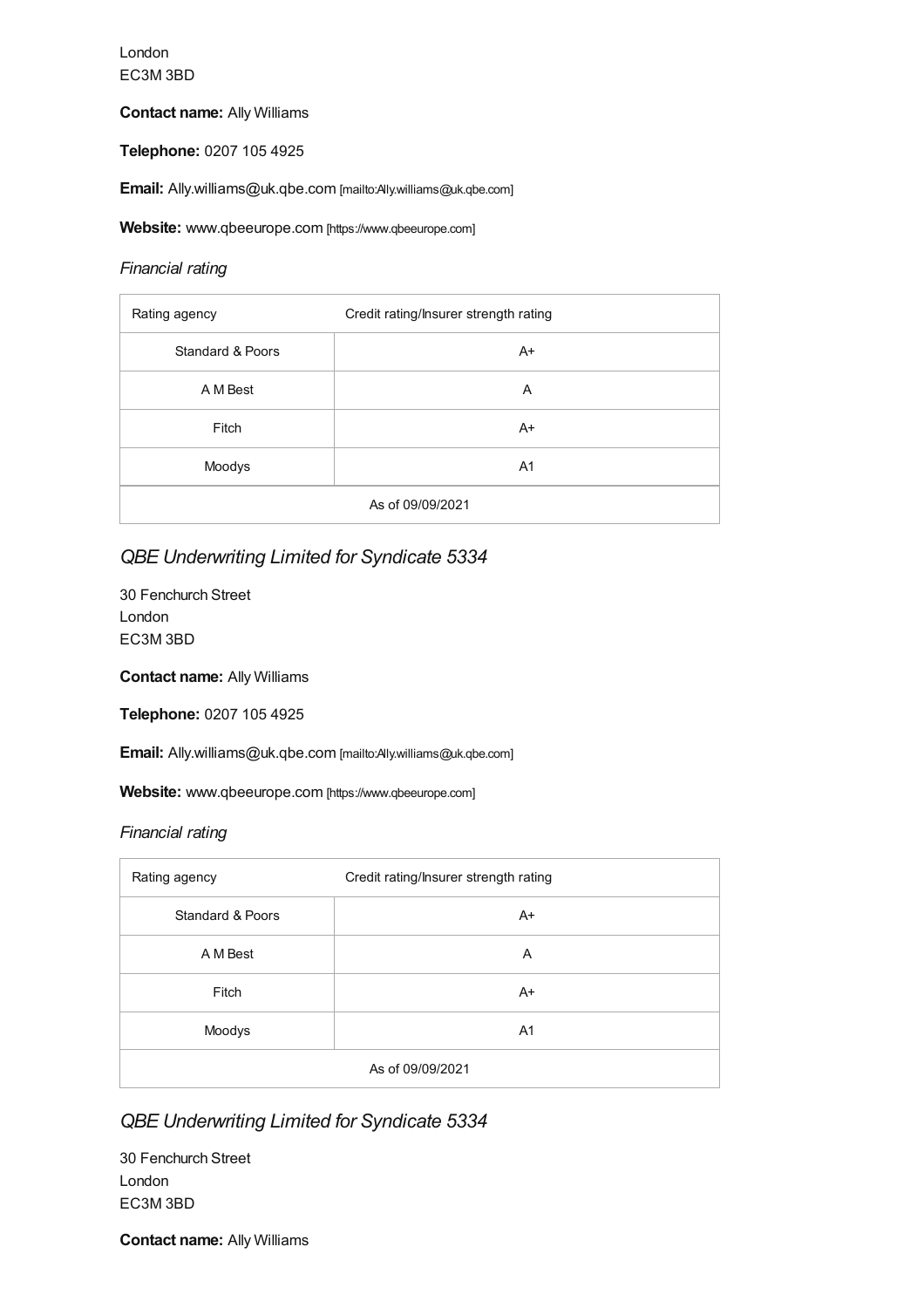London EC3M 3BD

#### **Contact name:** Ally Williams

**Telephone:** 0207 105 4925

**Email:** [Ally.williams@uk.qbe.com](mailto:Ally.williams@uk.qbe.com) [mailto:Ally.williams@uk.qbe.com]

Website: [www.qbeeurope.com](https://www.qbeeurope.com) [https://www.qbeeurope.com]

#### *Financial rating*

| Rating agency               | Credit rating/Insurer strength rating |
|-----------------------------|---------------------------------------|
| <b>Standard &amp; Poors</b> | $A+$                                  |
| A M Best                    | A                                     |
| Fitch                       | $A+$                                  |
| Moodys                      | A <sub>1</sub>                        |
| As of 09/09/2021            |                                       |

### *QBE Underwriting Limited for Syndicate 5334*

30 Fenchurch Street London EC3M 3BD

**Contact name:** Ally Williams

**Telephone:** 0207 105 4925

**Email:** [Ally.williams@uk.qbe.com](mailto:Ally.williams@uk.qbe.com) [mailto:Ally.williams@uk.qbe.com]

Website: [www.qbeeurope.com](https://www.qbeeurope.com) [https://www.qbeeurope.com]

#### *Financial rating*

| Rating agency    | Credit rating/Insurer strength rating |
|------------------|---------------------------------------|
| Standard & Poors | $A+$                                  |
| A M Best         | A                                     |
| Fitch            | $A+$                                  |
| Moodys           | A <sub>1</sub>                        |
| As of 09/09/2021 |                                       |

### *QBE Underwriting Limited for Syndicate 5334*

30 Fenchurch Street London EC3M 3BD

**Contact name:** Ally Williams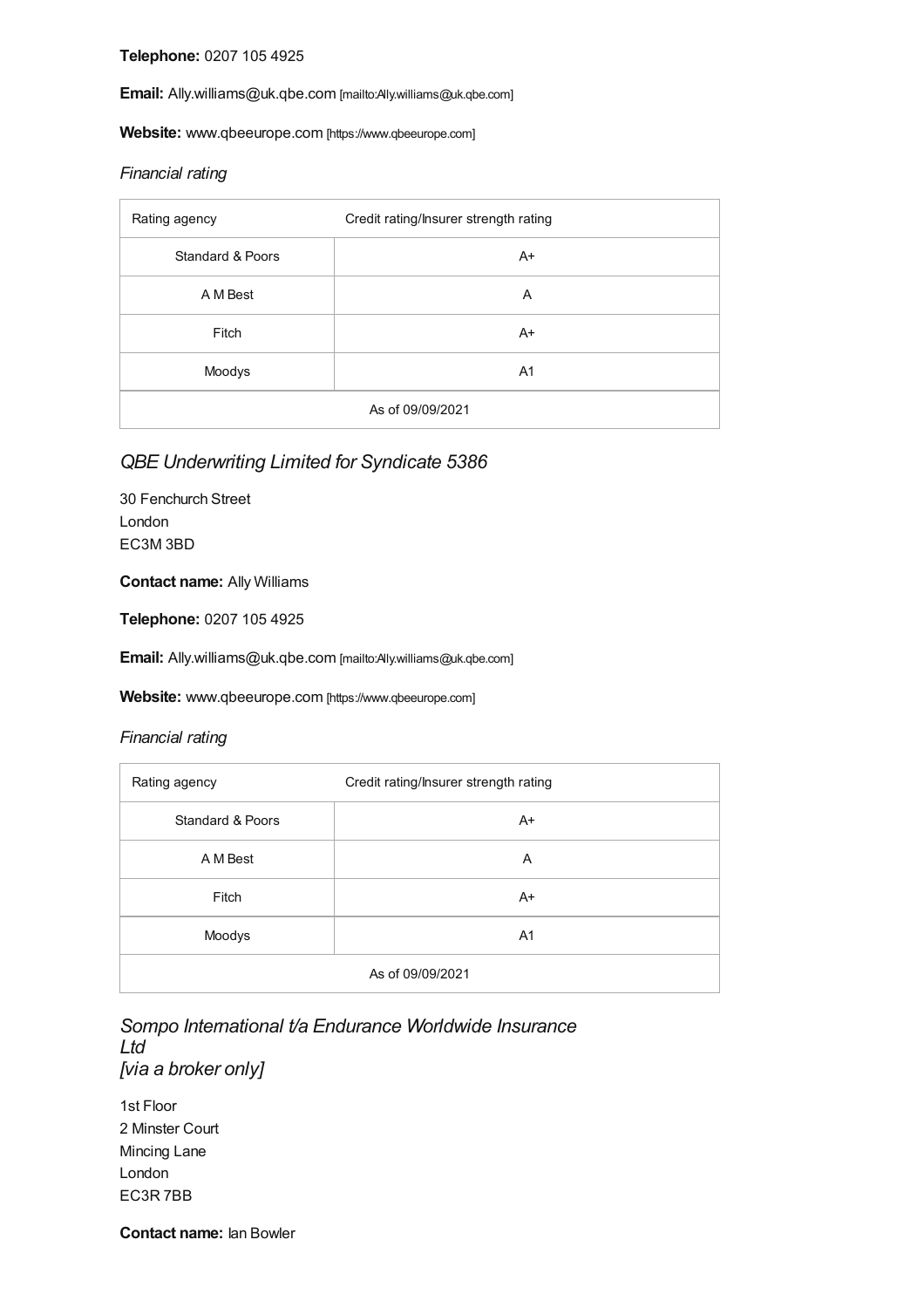**Telephone:** 0207 105 4925

**Email:** [Ally.williams@uk.qbe.com](mailto:Ally.williams@uk.qbe.com) [mailto:Ally.williams@uk.qbe.com]

Website: [www.qbeeurope.com](https://www.qbeeurope.com) [https://www.qbeeurope.com]

#### *Financial rating*

| Rating agency    | Credit rating/Insurer strength rating |
|------------------|---------------------------------------|
| Standard & Poors | $A+$                                  |
| A M Best         | Α                                     |
| Fitch            | $A+$                                  |
| Moodys           | A <sub>1</sub>                        |
| As of 09/09/2021 |                                       |

### *QBE Underwriting Limited for Syndicate 5386*

30 Fenchurch Street London EC3M 3BD

#### **Contact name:** Ally Williams

**Telephone:** 0207 105 4925

**Email:** [Ally.williams@uk.qbe.com](mailto:Ally.williams@uk.qbe.com) [mailto:Ally.williams@uk.qbe.com]

Website: [www.qbeeurope.com](https://www.qbeeurope.com) [https://www.qbeeurope.com]

#### *Financial rating*

| Rating agency    | Credit rating/Insurer strength rating |
|------------------|---------------------------------------|
| Standard & Poors | $A+$                                  |
| A M Best         | A                                     |
| Fitch            | $A+$                                  |
| Moodys           | A <sub>1</sub>                        |
| As of 09/09/2021 |                                       |

*Sompo International t/a Endurance Worldwide Insurance Ltd [via a broker only]*

1st Floor 2 Minster Court Mincing Lane London EC3R 7BB

**Contact name:** Ian Bowler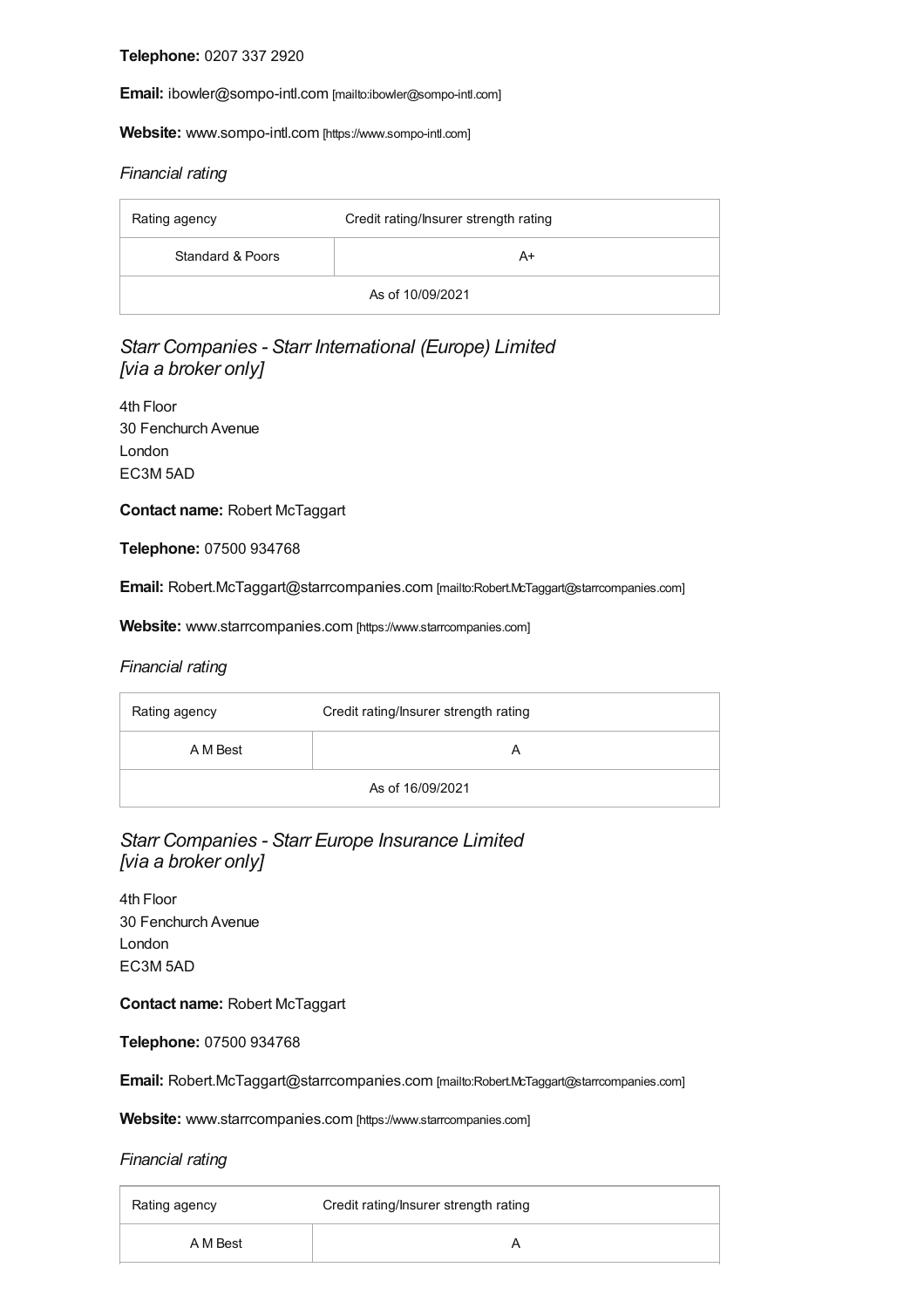**Telephone:** 0207 337 2920

**Email:** [ibowler@sompo-intl.com](mailto:ibowler@sompo-intl.com) [mailto:ibowler@sompo-intl.com]

**Website:** [www.sompo-intl.com](https://www.sompo-intl.com) [https://www.sompo-intl.com]

#### *Financial rating*

| Rating agency    | Credit rating/Insurer strength rating |
|------------------|---------------------------------------|
| Standard & Poors | A+                                    |
| As of 10/09/2021 |                                       |

### *Starr Companies - Starr International (Europe) Limited [via a broker only]*

4th Floor 30 Fenchurch Avenue London EC3M 5AD

**Contact name:** Robert McTaggart

**Telephone:** 07500 934768

**Email:** [Robert.McTaggart@starrcompanies.com](mailto:Robert.McTaggart@starrcompanies.com) [mailto:Robert.McTaggart@starrcompanies.com]

**Website:** [www.starrcompanies.com](https://www.starrcompanies.com) [https://www.starrcompanies.com]

#### *Financial rating*

| Rating agency    | Credit rating/Insurer strength rating |
|------------------|---------------------------------------|
| A M Best         |                                       |
| As of 16/09/2021 |                                       |

### *Starr Companies - Starr Europe Insurance Limited [via a broker only]*

4th Floor 30 Fenchurch Avenue London EC3M 5AD

**Contact name:** Robert McTaggart

**Telephone:** 07500 934768

**Email:** [Robert.McTaggart@starrcompanies.com](mailto:Robert.McTaggart@starrcompanies.com) [mailto:Robert.McTaggart@starrcompanies.com]

**Website:** [www.starrcompanies.com](https://www.starrcompanies.com) [https://www.starrcompanies.com]

| Rating agency | Credit rating/Insurer strength rating |
|---------------|---------------------------------------|
| A M Best      |                                       |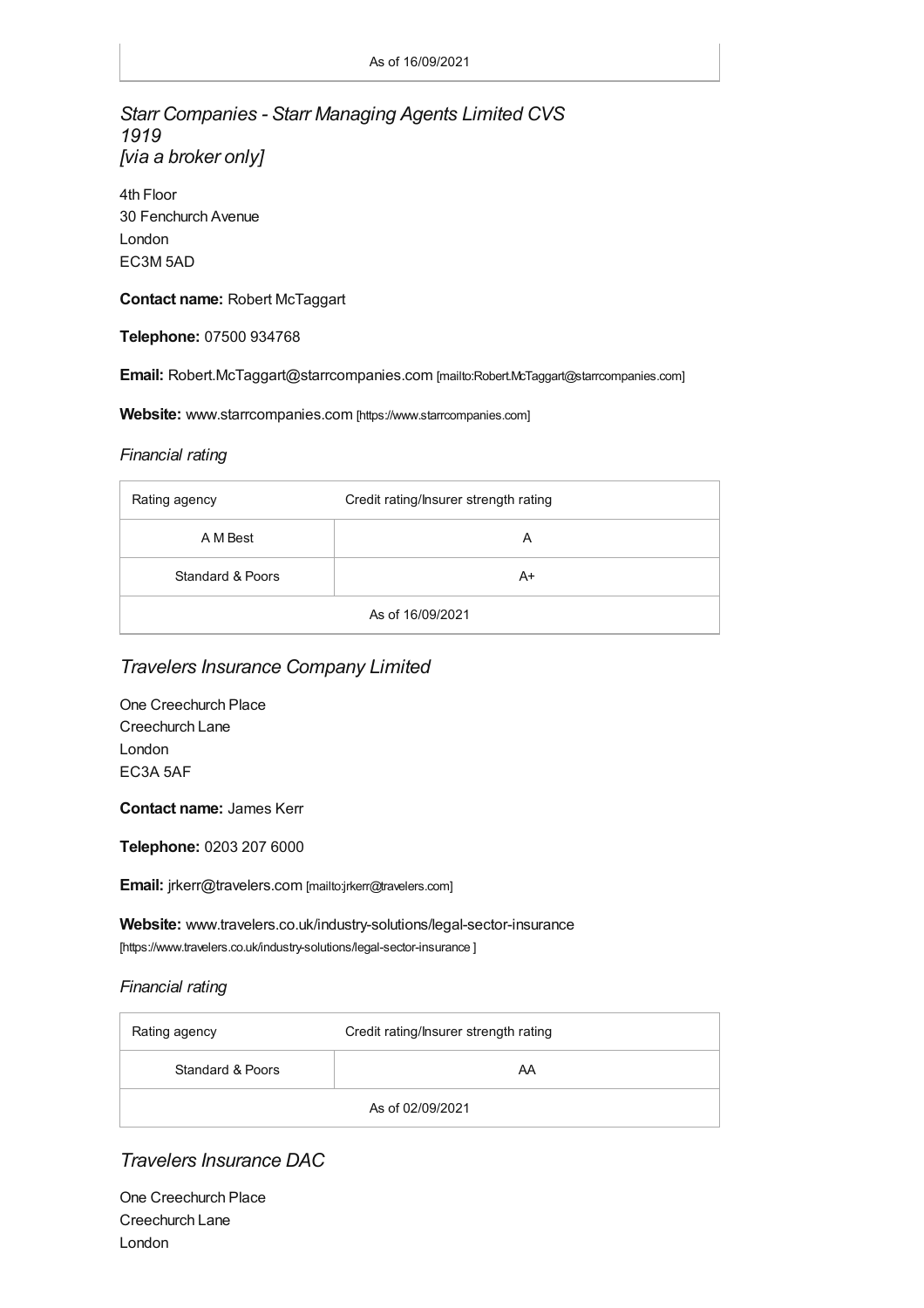### *Starr Companies - Starr Managing Agents Limited CVS 1919 [via a broker only]*

4th Floor 30 Fenchurch Avenue London EC3M 5AD

#### **Contact name:** Robert McTaggart

**Telephone:** 07500 934768

**Email:** [Robert.McTaggart@starrcompanies.com](mailto:Robert.McTaggart@starrcompanies.com) [mailto:Robert.McTaggart@starrcompanies.com]

#### **Website:** [www.starrcompanies.com](https://www.starrcompanies.com) [https://www.starrcompanies.com]

#### *Financial rating*

| Rating agency    | Credit rating/Insurer strength rating |
|------------------|---------------------------------------|
| A M Best         | A                                     |
| Standard & Poors | A+                                    |
| As of 16/09/2021 |                                       |

### *Travelers Insurance Company Limited*

One Creechurch Place Creechurch Lane London EC3A 5AF

#### **Contact name:** James Kerr

**Telephone:** 0203 207 6000

**Email:** [jrkerr@travelers.com](mailto:jrkerr@travelers.com) [mailto:jrkerr@travelers.com]

**Website:** [www.travelers.co.uk/industry-solutions/legal-sector-insurance](https://www.travelers.co.uk/industry-solutions/legal-sector-insurance
	) [https://www.travelers.co.uk/industry-solutions/legal-sector-insurance ]

#### *Financial rating*

| Rating agency    | Credit rating/Insurer strength rating |
|------------------|---------------------------------------|
| Standard & Poors | AA                                    |
| As of 02/09/2021 |                                       |

### *Travelers Insurance DAC*

One Creechurch Place Creechurch Lane London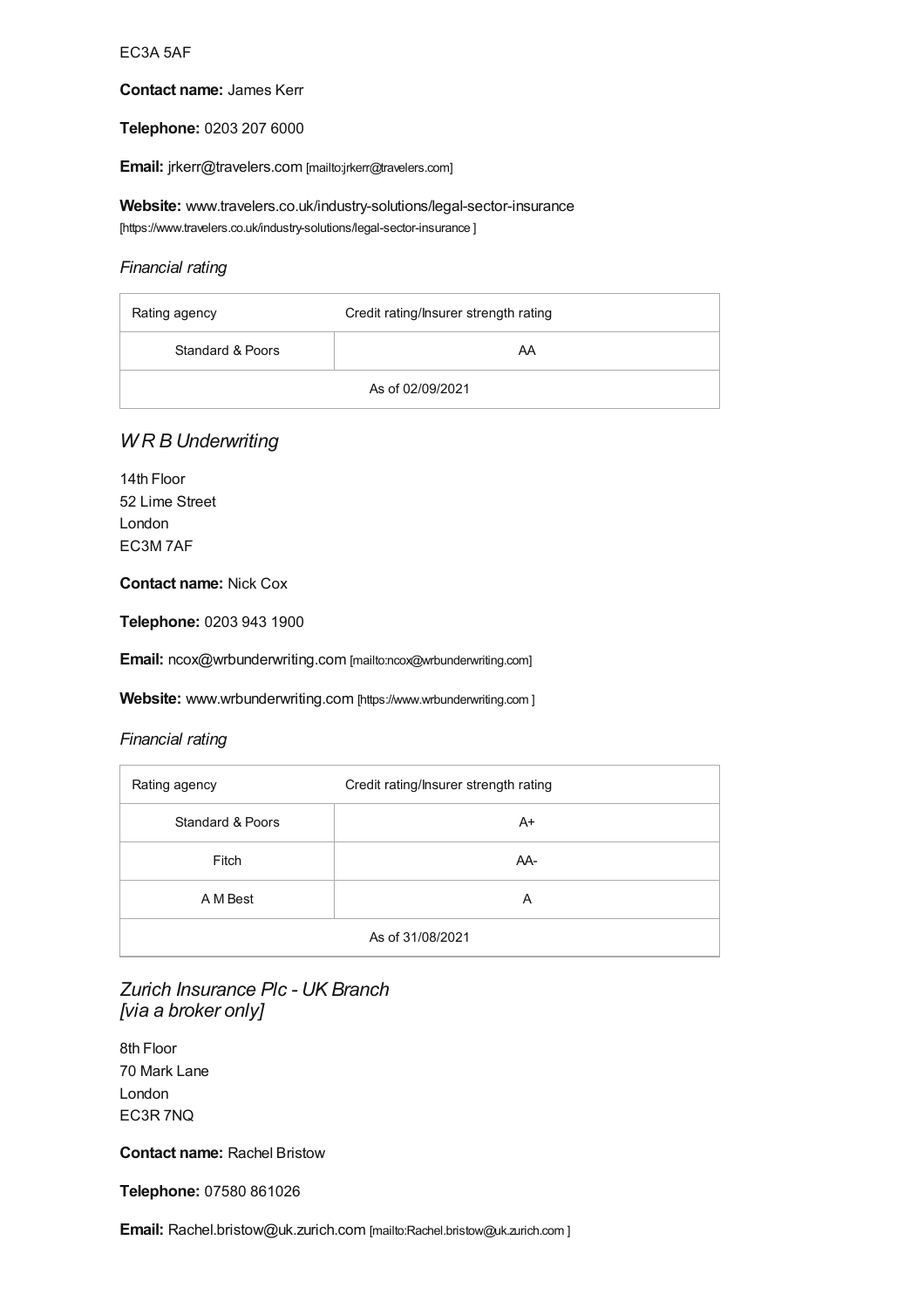#### EC3A 5AF

#### **Contact name:** James Kerr

#### **Telephone:** 0203 207 6000

**Email:** [jrkerr@travelers.com](mailto:jrkerr@travelers.com) [mailto:jrkerr@travelers.com]

**Website:** [www.travelers.co.uk/industry-solutions/legal-sector-insurance](https://www.travelers.co.uk/industry-solutions/legal-sector-insurance
	) [https://www.travelers.co.uk/industry-solutions/legal-sector-insurance ]

#### *Financial rating*

| Rating agency    | Credit rating/Insurer strength rating |
|------------------|---------------------------------------|
| Standard & Poors | AA                                    |
| As of 02/09/2021 |                                       |

### *W R B Underwriting*

14th Floor 52 Lime Street London EC3M 7AF

#### **Contact name:** Nick Cox

**Telephone:** 0203 943 1900

**Email:** [ncox@wrbunderwriting.com](mailto:ncox@wrbunderwriting.com) [mailto:ncox@wrbunderwriting.com]

Website: [www.wrbunderwriting.com](#page-16-0) [https://www.wrbunderwriting.com ]

#### *Financial rating*

| Rating agency               | Credit rating/Insurer strength rating |
|-----------------------------|---------------------------------------|
| <b>Standard &amp; Poors</b> | $A+$                                  |
| Fitch                       | AA-                                   |
| A M Best                    | A                                     |
| As of 31/08/2021            |                                       |

### *Zurich Insurance Plc - UK Branch [via a broker only]*

8th Floor 70 Mark Lane London EC3R 7NQ

**Contact name:** Rachel Bristow

**Telephone:** 07580 861026

**Email:** [Rachel.bristow@uk.zurich.com](mailto:Rachel.bristow@uk.zurich.com
	) [mailto:Rachel.bristow@uk.zurich.com ]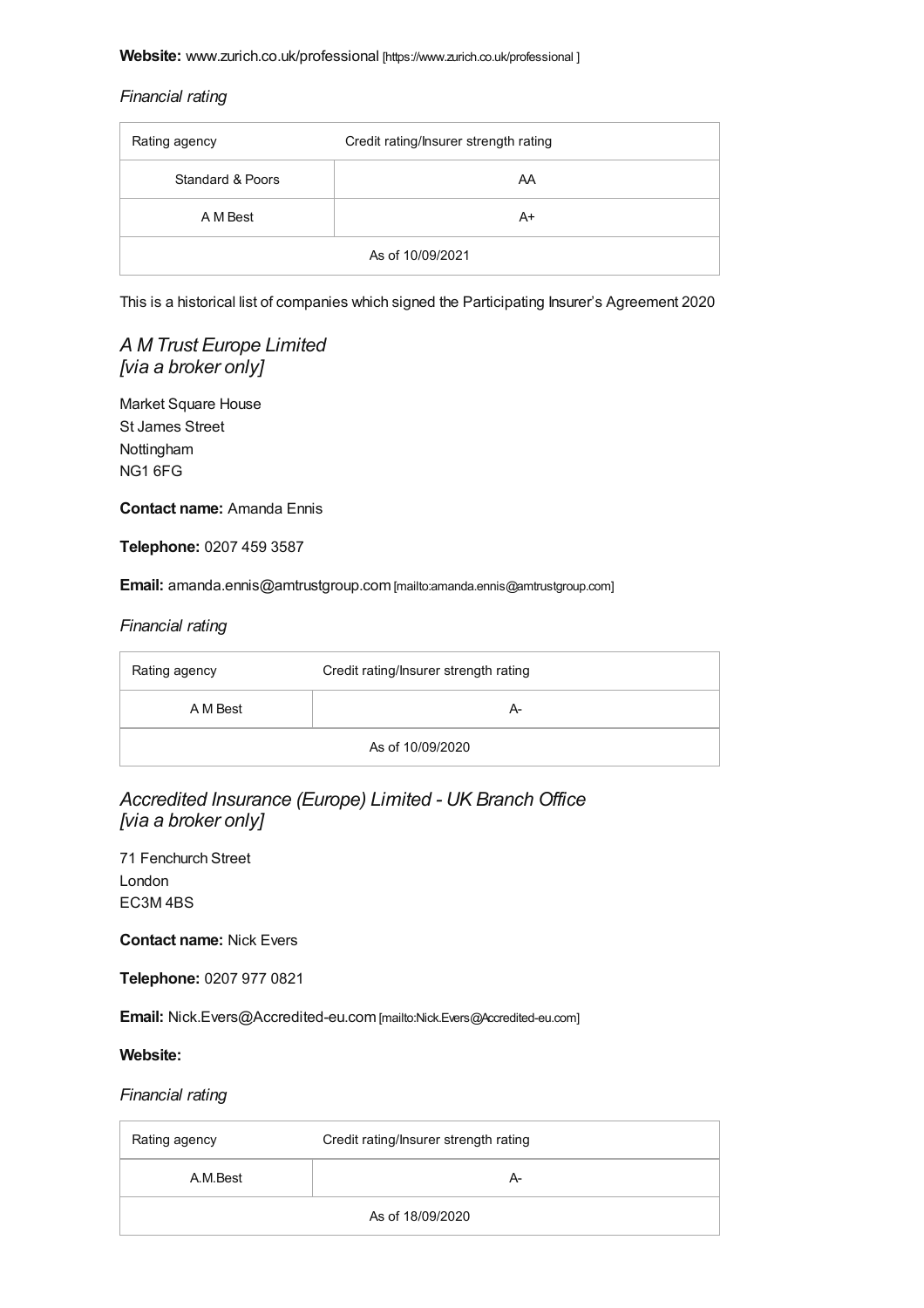#### <span id="page-16-0"></span>*Financial rating*

| Rating agency    | Credit rating/Insurer strength rating |
|------------------|---------------------------------------|
| Standard & Poors | AA                                    |
| A M Best         | A+                                    |
| As of 10/09/2021 |                                       |

This is a historical list of companies which signed the Participating Insurer's Agreement 2020

### *A M Trust Europe Limited [via a broker only]*

Market Square House St James Street Nottingham NG1 6FG

**Contact name:** Amanda Ennis

**Telephone:** 0207 459 3587

**Email:** [amanda.ennis@amtrustgroup.com](mailto:amanda.ennis@amtrustgroup.com) [mailto:amanda.ennis@amtrustgroup.com]

#### *Financial rating*

| Rating agency    | Credit rating/Insurer strength rating |
|------------------|---------------------------------------|
| A M Best         | А-                                    |
| As of 10/09/2020 |                                       |

### *Accredited Insurance (Europe) Limited - UK Branch Office [via a broker only]*

71 Fenchurch Street London EC3M 4BS

**Contact name:** Nick Evers

**Telephone:** 0207 977 0821

**Email:** [Nick.Evers@Accredited-eu.com](mailto:Nick.Evers@Accredited-eu.com) [mailto:Nick.Evers@Accredited-eu.com]

#### **Website:**

| Rating agency    | Credit rating/Insurer strength rating |
|------------------|---------------------------------------|
| A.M.Best         | А-                                    |
| As of 18/09/2020 |                                       |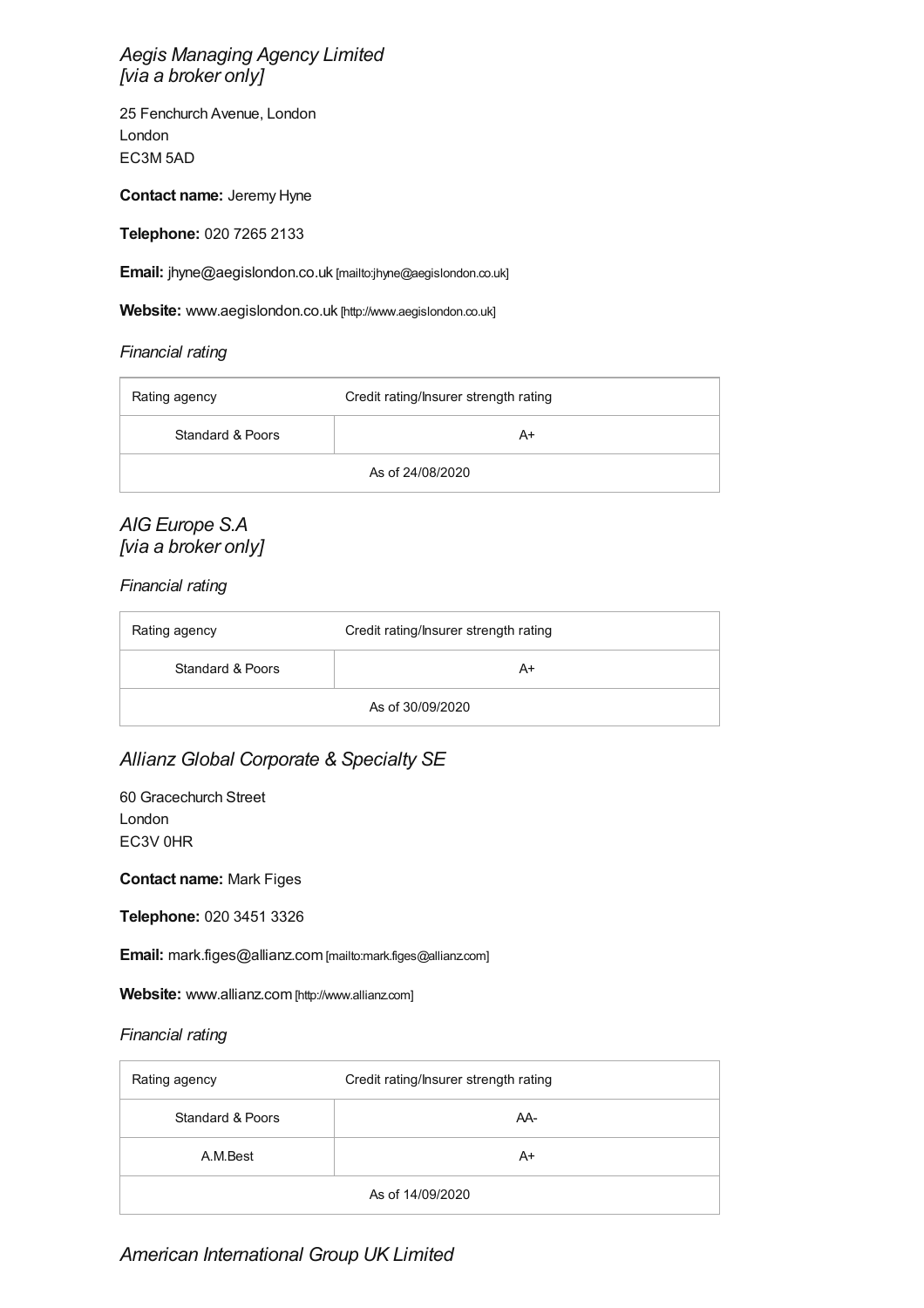### *Aegis Managing Agency Limited [via a broker only]*

25 Fenchurch Avenue, London London EC3M 5AD

**Contact name:** Jeremy Hyne

**Telephone:** 020 7265 2133

**Email:** [jhyne@aegislondon.co.uk](mailto:jhyne@aegislondon.co.uk) [mailto:jhyne@aegislondon.co.uk]

**Website:** [www.aegislondon.co.uk](http://www.aegislondon.co.uk) [http://www.aegislondon.co.uk]

#### *Financial rating*

| Rating agency    | Credit rating/Insurer strength rating |
|------------------|---------------------------------------|
| Standard & Poors | A+                                    |
| As of 24/08/2020 |                                       |

### *AIG Europe S.A [via a broker only]*

*Financial rating*

| Rating agency    | Credit rating/Insurer strength rating |
|------------------|---------------------------------------|
| Standard & Poors | A+                                    |
| As of 30/09/2020 |                                       |

### *Allianz Global Corporate & Specialty SE*

60 Gracechurch Street London EC3V 0HR

**Contact name:** Mark Figes

**Telephone:** 020 3451 3326

**Email:** [mark.figes@allianz.com](mailto:mark.figes@allianz.com) [mailto:mark.figes@allianz.com]

**Website:** [www.allianz.com](http://www.allianz.com) [http://www.allianz.com]

| Rating agency    | Credit rating/Insurer strength rating |
|------------------|---------------------------------------|
| Standard & Poors | AA-                                   |
| A.M.Best         | A+                                    |
| As of 14/09/2020 |                                       |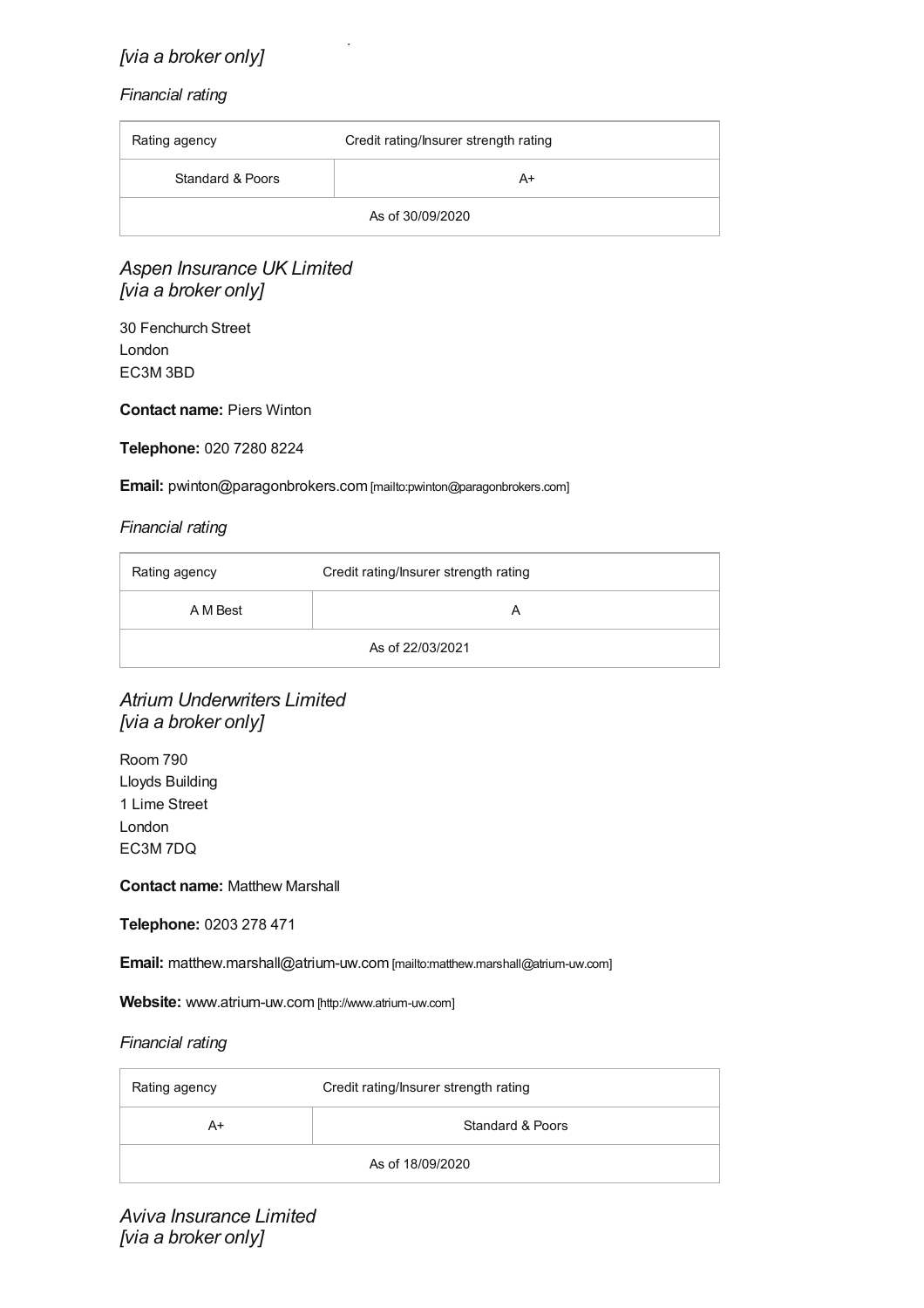### *American International Group UK Limited [via a broker only]*

#### *Financial rating*

| Rating agency    | Credit rating/Insurer strength rating |
|------------------|---------------------------------------|
| Standard & Poors | A+                                    |
| As of 30/09/2020 |                                       |

### *Aspen Insurance UK Limited [via a broker only]*

30 Fenchurch Street London EC3M 3BD

#### **Contact name:** Piers Winton

#### **Telephone:** 020 7280 8224

#### **Email:** [pwinton@paragonbrokers.com](mailto:pwinton@paragonbrokers.com) [mailto:pwinton@paragonbrokers.com]

#### *Financial rating*

| Rating agency    | Credit rating/Insurer strength rating |
|------------------|---------------------------------------|
| A M Best         |                                       |
| As of 22/03/2021 |                                       |

### *Atrium Underwriters Limited [via a broker only]*

Room 790 Lloyds Building 1 Lime Street London EC3M 7DQ

#### **Contact name:** Matthew Marshall

**Telephone:** 0203 278 471

**Email:** [matthew.marshall@atrium-uw.com](mailto:matthew.marshall@atrium-uw.com) [mailto:matthew.marshall@atrium-uw.com]

**Website:** [www.atrium-uw.com](http://www.atrium-uw.com) [http://www.atrium-uw.com]

| Rating agency    | Credit rating/Insurer strength rating |
|------------------|---------------------------------------|
| A+               | Standard & Poors                      |
| As of 18/09/2020 |                                       |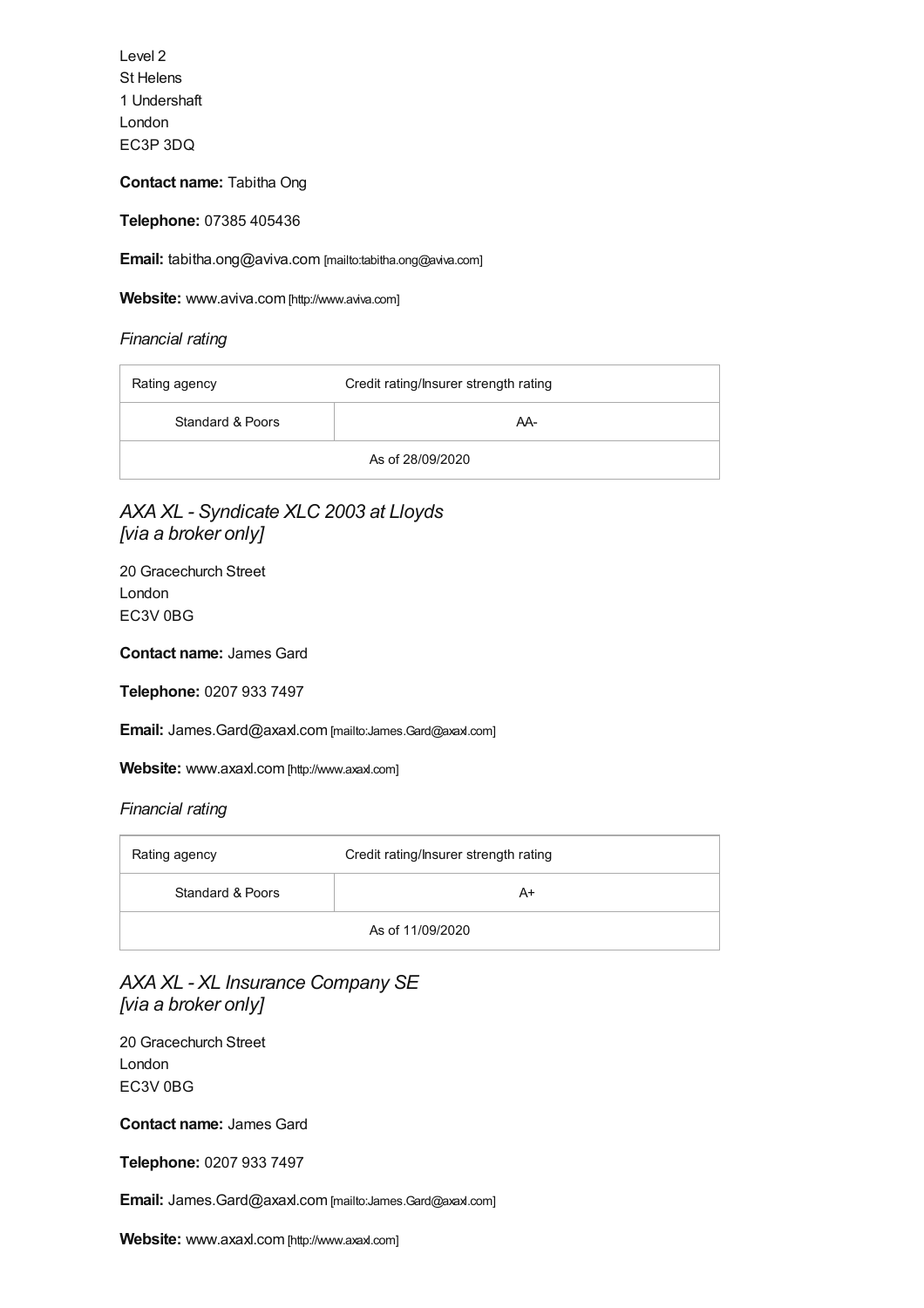Level 2 St Helens 1 Undershaft London EC3P 3DQ

**Contact name:** Tabitha Ong

**Telephone:** 07385 405436

**Email:** [tabitha.ong@aviva.com](mailto:tabitha.ong@aviva.com) [mailto:tabitha.ong@aviva.com]

**Website:** [www.aviva.com](http://www.aviva.com) [http://www.aviva.com]

*Financial rating*

| Rating agency    | Credit rating/Insurer strength rating |
|------------------|---------------------------------------|
| Standard & Poors | AA-                                   |
| As of 28/09/2020 |                                       |

### *AXA XL - Syndicate XLC 2003 at Lloyds [via a broker only]*

20 Gracechurch Street London EC3V 0BG

**Contact name:** James Gard

**Telephone:** 0207 933 7497

**Email:** [James.Gard@axaxl.com](mailto:James.Gard@axaxl.com) [mailto:James.Gard@axaxl.com]

**Website:** [www.axaxl.com](http://www.axaxl.com) [http://www.axaxl.com]

#### *Financial rating*

| Rating agency    | Credit rating/Insurer strength rating |
|------------------|---------------------------------------|
| Standard & Poors | A+                                    |
| As of 11/09/2020 |                                       |

### *AXA XL - XL Insurance Company SE [via a broker only]*

20 Gracechurch Street London EC3V 0BG

**Contact name:** James Gard

**Telephone:** 0207 933 7497

**Email:** [James.Gard@axaxl.com](mailto:James.Gard@axaxl.com) [mailto:James.Gard@axaxl.com]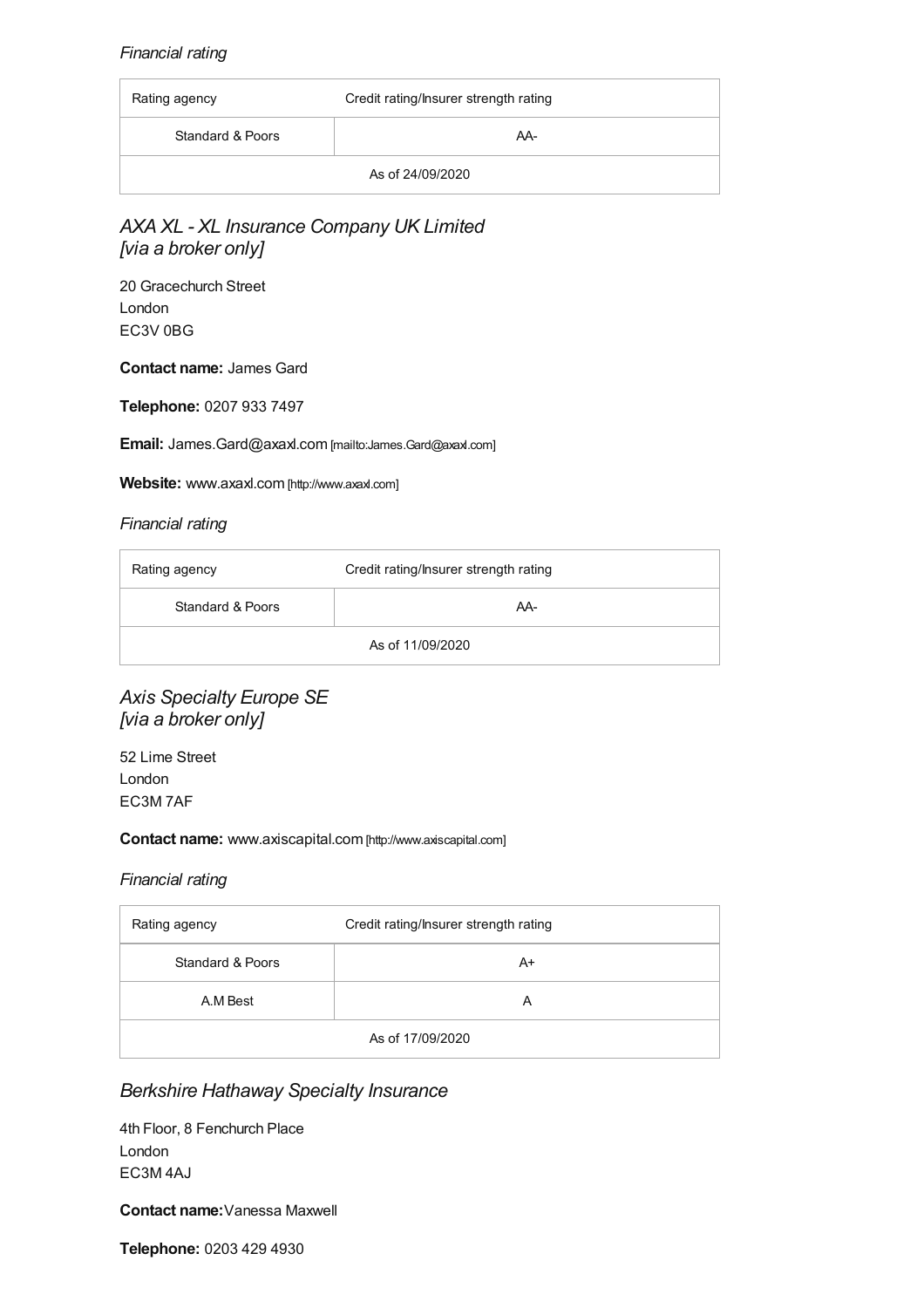#### *Financial rating*

| Rating agency    | Credit rating/Insurer strength rating |
|------------------|---------------------------------------|
| Standard & Poors | AA-                                   |
| As of 24/09/2020 |                                       |

### *AXA XL - XL Insurance Company UK Limited [via a broker only]*

20 Gracechurch Street London EC3V 0BG

**Contact name:** James Gard

**Telephone:** 0207 933 7497

**Email:** [James.Gard@axaxl.com](mailto:James.Gard@axaxl.com) [mailto:James.Gard@axaxl.com]

**Website:** [www.axaxl.com](http://www.axaxl.com) [http://www.axaxl.com]

#### *Financial rating*

| Rating agency    | Credit rating/Insurer strength rating |
|------------------|---------------------------------------|
| Standard & Poors | AA-                                   |
| As of 11/09/2020 |                                       |

### *Axis Specialty Europe SE [via a broker only]*

52 Lime Street London EC3M 7AF

#### **Contact name:** [www.axiscapital.com](http://www.axiscapital.com) [http://www.axiscapital.com]

#### *Financial rating*

| Rating agency    | Credit rating/Insurer strength rating |
|------------------|---------------------------------------|
| Standard & Poors | A+                                    |
| A.M Best         | A                                     |
| As of 17/09/2020 |                                       |

### *Berkshire Hathaway Specialty Insurance*

4th Floor, 8 Fenchurch Place London EC3M 4AJ

**Contact name:**Vanessa Maxwell

**Telephone:** 0203 429 4930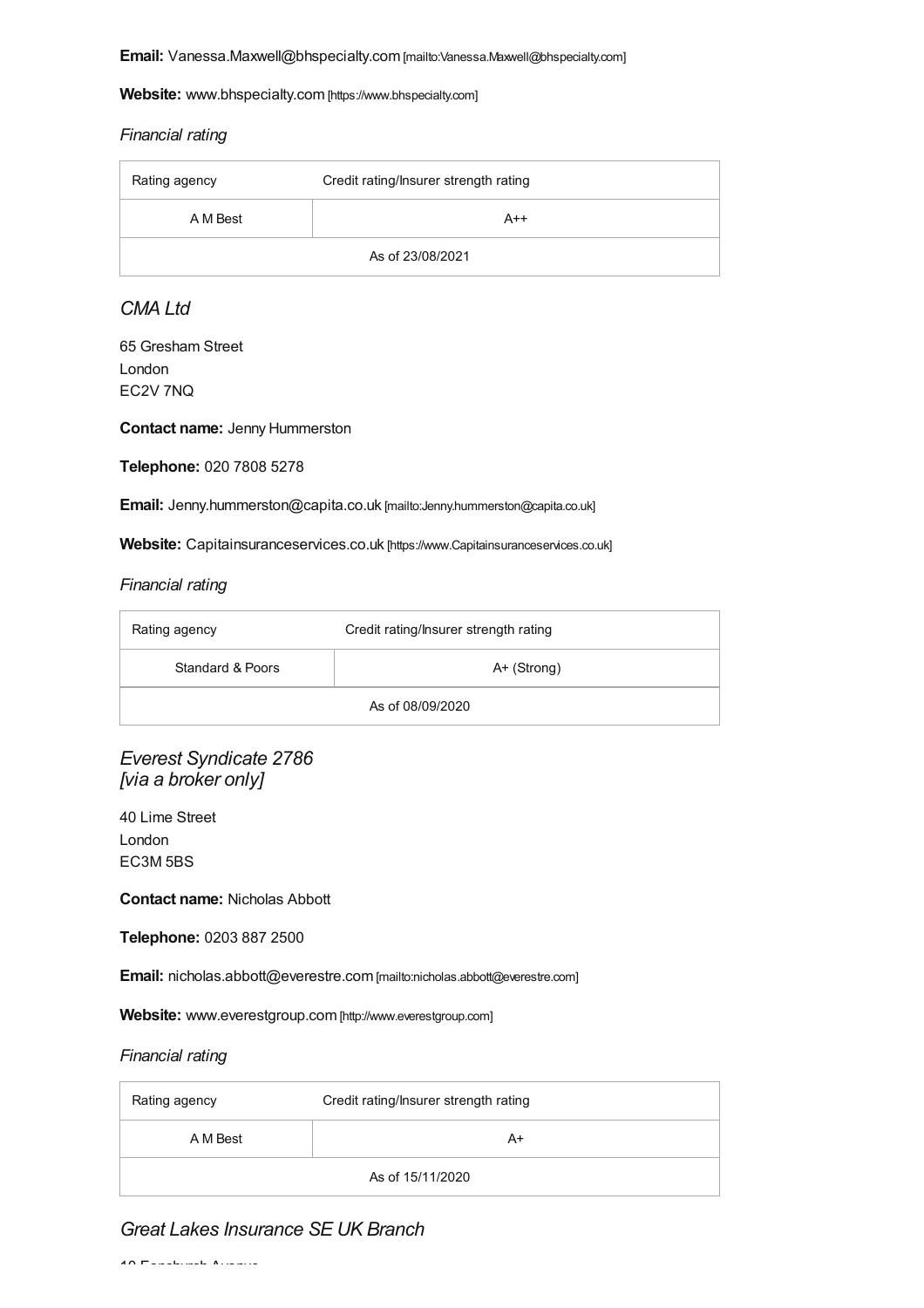**Email:** [Vanessa.Maxwell@bhspecialty.com](mailto:Vanessa.Maxwell@bhspecialty.com) [mailto:Vanessa.Maxwell@bhspecialty.com]

**Website:** [www.bhspecialty.com](https://www.bhspecialty.com) [https://www.bhspecialty.com]

#### *Financial rating*

| Rating agency    | Credit rating/Insurer strength rating |
|------------------|---------------------------------------|
| A M Best         | $A++$                                 |
| As of 23/08/2021 |                                       |

### *CMA Ltd*

65 Gresham Street London EC2V 7NQ

**Contact name:** Jenny Hummerston

**Telephone:** 020 7808 5278

**Email:** [Jenny.hummerston@capita.co.uk](mailto:Jenny.hummerston@capita.co.uk) [mailto:Jenny.hummerston@capita.co.uk]

**Website:** [Capitainsuranceservices.co.uk](https://www.capitainsuranceservices.co.uk) [https://www.Capitainsuranceservices.co.uk]

#### *Financial rating*

| Rating agency    | Credit rating/Insurer strength rating |
|------------------|---------------------------------------|
| Standard & Poors | $A+$ (Strong)                         |
| As of 08/09/2020 |                                       |

*Everest Syndicate 2786 [via a broker only]*

40 Lime Street London EC3M 5BS

**Contact name:** Nicholas Abbott

**Telephone:** 0203 887 2500

**Email:** [nicholas.abbott@everestre.com](mailto:nicholas.abbott@everestre.com) [mailto:nicholas.abbott@everestre.com]

**Website:** [www.everestgroup.com](http://www.everestgroup.com) [http://www.everestgroup.com]

#### *Financial rating*

| Rating agency    | Credit rating/Insurer strength rating |
|------------------|---------------------------------------|
| A M Best         | A+                                    |
| As of 15/11/2020 |                                       |

### *Great Lakes Insurance SE UK Branch*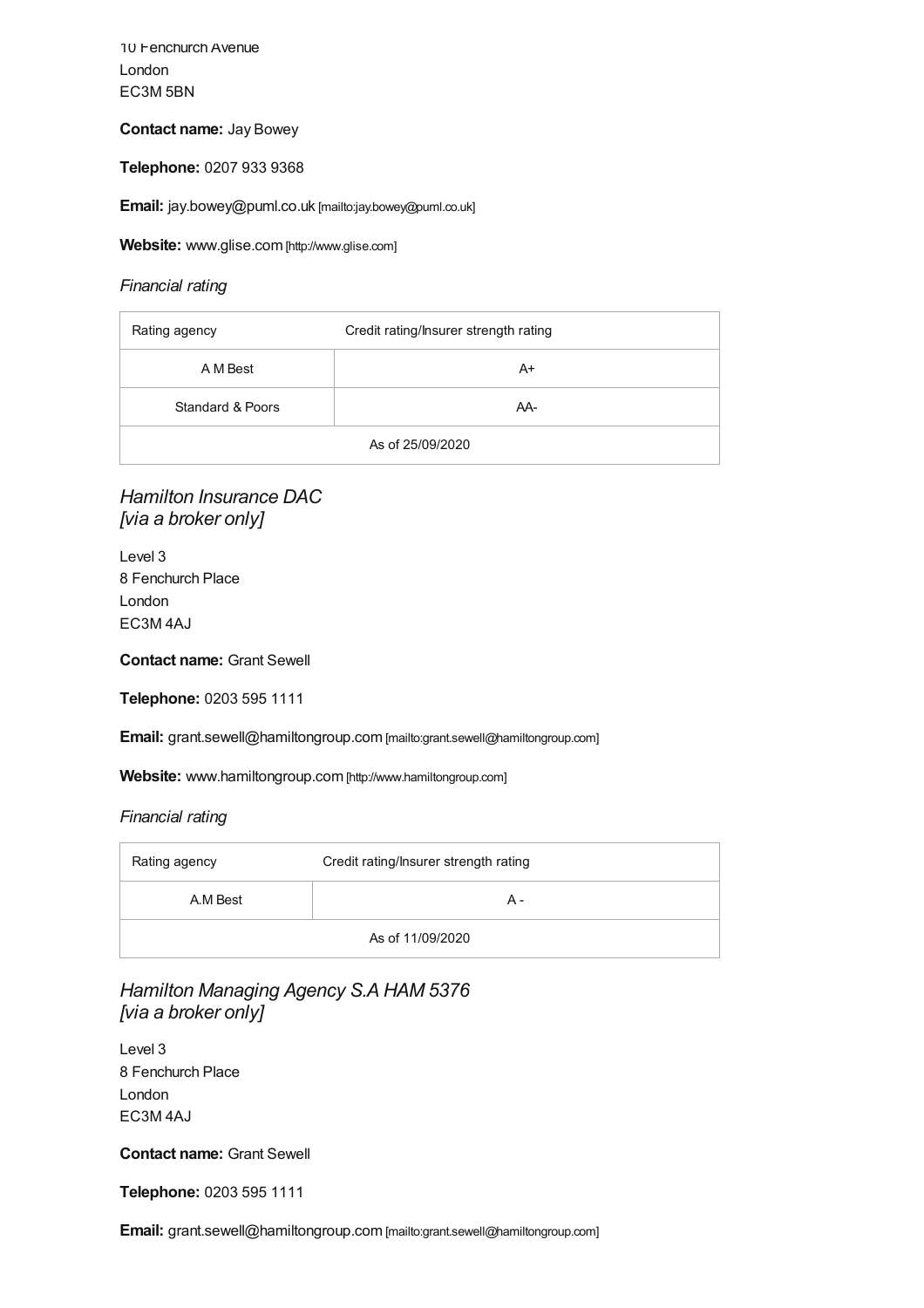10 Fenchurch Avenue London EC3M 5BN

#### **Contact name:** Jay Bowey

**Telephone:** 0207 933 9368

**Email:** [jay.bowey@puml.co.uk](mailto:jay.bowey@puml.co.uk) [mailto:jay.bowey@puml.co.uk]

**Website:** [www.glise.com](http://www.glise.com) [http://www.glise.com]

#### *Financial rating*

| Rating agency    | Credit rating/Insurer strength rating |
|------------------|---------------------------------------|
| A M Best         | A+                                    |
| Standard & Poors | AA-                                   |
| As of 25/09/2020 |                                       |

### *Hamilton Insurance DAC [via a broker only]*

Level 3 8 Fenchurch Place London EC3M 4AJ

**Contact name:** Grant Sewell

**Telephone:** 0203 595 1111

**Email:** [grant.sewell@hamiltongroup.com](mailto:grant.sewell@hamiltongroup.com) [mailto:grant.sewell@hamiltongroup.com]

**Website:** [www.hamiltongroup.com](http://www.hamiltongroup.com) [http://www.hamiltongroup.com]

#### *Financial rating*

| Rating agency    | Credit rating/Insurer strength rating |
|------------------|---------------------------------------|
| A.M Best         | А -                                   |
| As of 11/09/2020 |                                       |

*Hamilton Managing Agency S.A HAM 5376 [via a broker only]*

Level 3 8 Fenchurch Place London EC3M 4AJ

**Contact name:** Grant Sewell

**Telephone:** 0203 595 1111

**Email:** [grant.sewell@hamiltongroup.com](mailto:grant.sewell@hamiltongroup.com) [mailto:grant.sewell@hamiltongroup.com]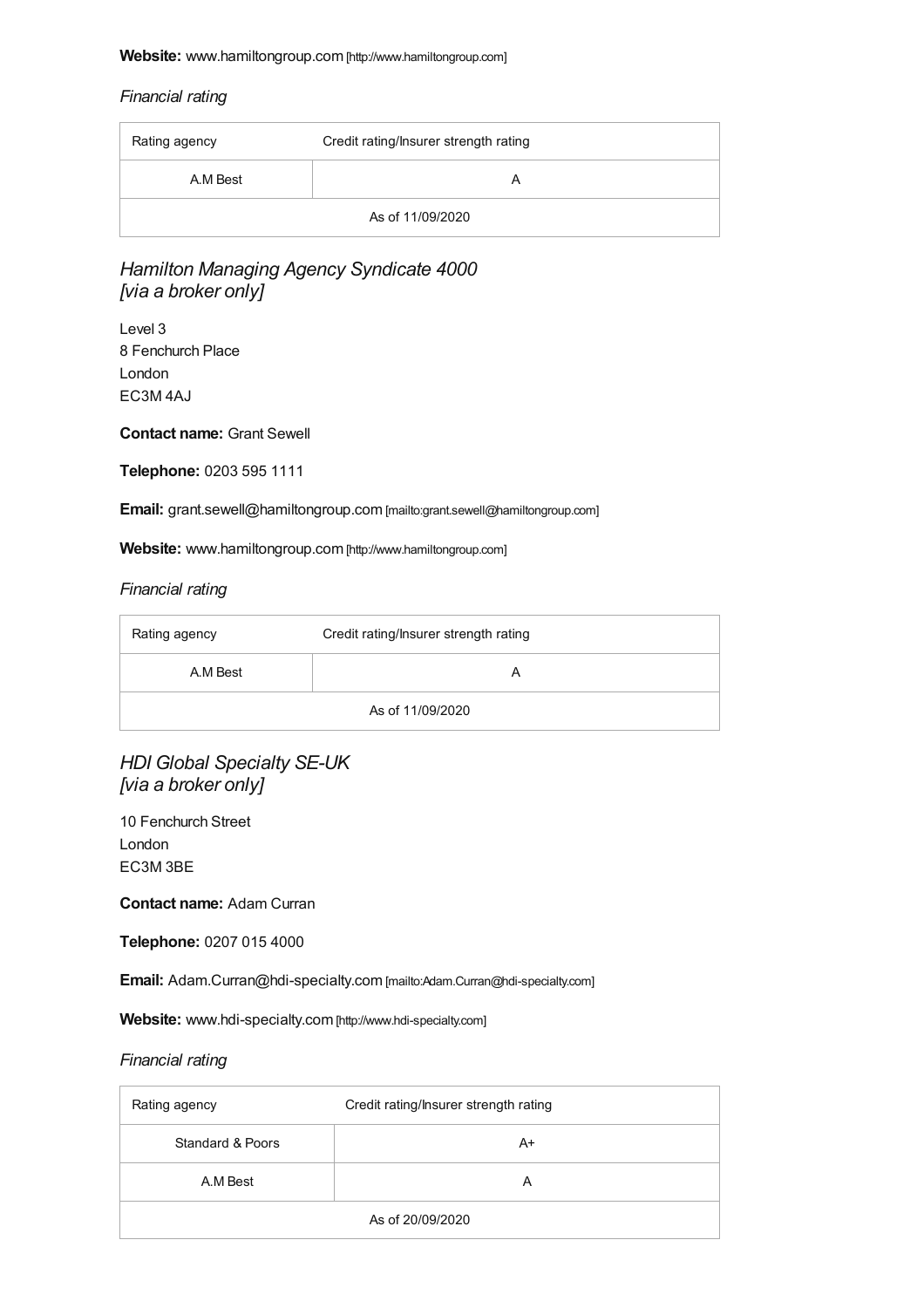#### <span id="page-23-0"></span>**Website:** [www.hamiltongroup.com](http://www.hamiltongroup.com) [http://www.hamiltongroup.com]

#### *Financial rating*

| Rating agency    | Credit rating/Insurer strength rating |
|------------------|---------------------------------------|
| A.M Best         | A                                     |
| As of 11/09/2020 |                                       |

### *Hamilton Managing Agency Syndicate 4000 [via a broker only]*

Level 3 8 Fenchurch Place London EC3M 4AJ

**Contact name:** Grant Sewell

**Telephone:** 0203 595 1111

**Email:** [grant.sewell@hamiltongroup.com](mailto:grant.sewell@hamiltongroup.com) [mailto:grant.sewell@hamiltongroup.com]

**Website:** [www.hamiltongroup.com](http://www.hamiltongroup.com) [http://www.hamiltongroup.com]

#### *Financial rating*

| Rating agency    | Credit rating/Insurer strength rating |
|------------------|---------------------------------------|
| A.M Best         |                                       |
| As of 11/09/2020 |                                       |

*HDI Global Specialty SE-UK [via a broker only]*

10 Fenchurch Street London EC3M 3BE

**Contact name:** Adam Curran

**Telephone:** 0207 015 4000

**Email:** [Adam.Curran@hdi-specialty.com](mailto:Adam.Curran@hdi-specialty.com) [mailto:Adam.Curran@hdi-specialty.com]

**Website:** [www.hdi-specialty.com](http://www.hdi-specialty.com) [http://www.hdi-specialty.com]

| Rating agency    | Credit rating/Insurer strength rating |
|------------------|---------------------------------------|
| Standard & Poors | A+                                    |
| A.M Best         | A                                     |
| As of 20/09/2020 |                                       |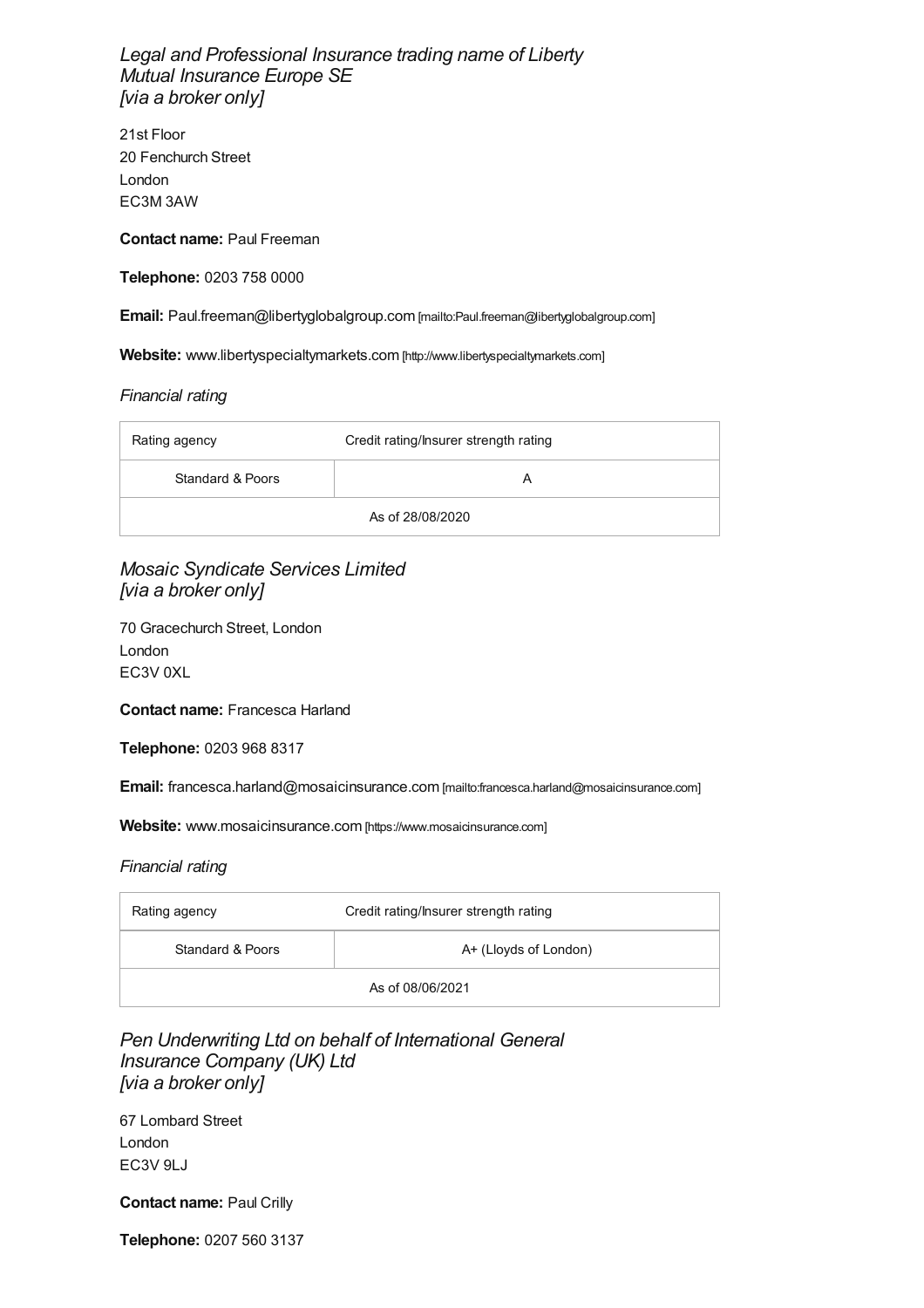*Legal and Professional Insurance trading name of Liberty Mutual Insurance Europe SE [via a broker only]*

21st Floor 20 Fenchurch Street London EC3M 3AW

**Contact name:** Paul Freeman

**Telephone:** 0203 758 0000

**Email:** [Paul.freeman@libertyglobalgroup.com](mailto:Paul.freeman@libertyglobalgroup.com) [mailto:Paul.freeman@libertyglobalgroup.com]

**Website:** [www.libertyspecialtymarkets.com](http://www.libertyspecialtymarkets.com) [http://www.libertyspecialtymarkets.com]

#### *Financial rating*

| Rating agency    | Credit rating/Insurer strength rating |
|------------------|---------------------------------------|
| Standard & Poors | А                                     |
| As of 28/08/2020 |                                       |

*Mosaic Syndicate Services Limited [via a broker only]*

70 Gracechurch Street, London London EC3V 0XL

**Contact name:** Francesca Harland

**Telephone:** 0203 968 8317

**Email:** [francesca.harland@mosaicinsurance.com](mailto:francesca.harland@mosaicinsurance.com) [mailto:francesca.harland@mosaicinsurance.com]

Website: [www.mosaicinsurance.com](https://www.mosaicinsurance.com) [https://www.mosaicinsurance.com]

#### *Financial rating*

| Rating agency    | Credit rating/Insurer strength rating |
|------------------|---------------------------------------|
| Standard & Poors | A+ (Lloyds of London)                 |
| As of 08/06/2021 |                                       |

### *Pen Underwriting Ltd on behalf of International General Insurance Company (UK) Ltd [via a broker only]*

67 Lombard Street London EC3V 9LJ

**Contact name:** Paul Crilly

**Telephone:** 0207 560 3137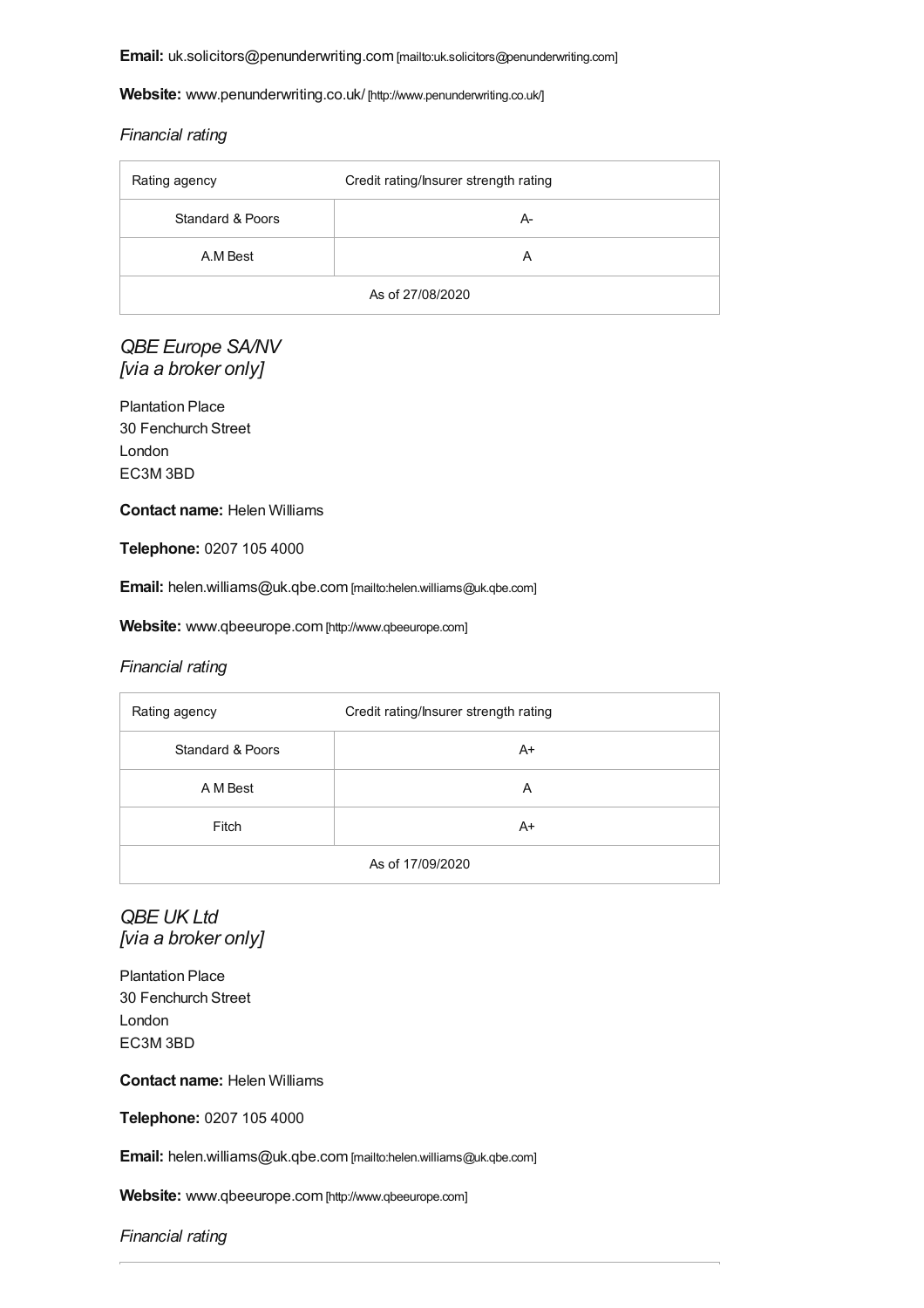**Email:** [uk.solicitors@penunderwriting.com](mailto:uk.solicitors@penunderwriting.com) [mailto:uk.solicitors@penunderwriting.com]

**Website:** [www.penunderwriting.co.uk/](http://www.penunderwriting.co.uk/) [http://www.penunderwriting.co.uk/]

#### *Financial rating*

| Rating agency    | Credit rating/Insurer strength rating |
|------------------|---------------------------------------|
| Standard & Poors | А-                                    |
| A.M Best         | А                                     |
| As of 27/08/2020 |                                       |

### *QBE Europe SA/NV [via a broker only]*

Plantation Place 30 Fenchurch Street London EC3M 3BD

**Contact name:** Helen Williams

**Telephone:** 0207 105 4000

**Email:** [helen.williams@uk.qbe.com](mailto:helen.williams@uk.qbe.com) [mailto:helen.williams@uk.qbe.com]

**Website:** [www.qbeeurope.com](http://www.qbeeurope.com) [http://www.qbeeurope.com]

#### *Financial rating*

| Rating agency    | Credit rating/Insurer strength rating |
|------------------|---------------------------------------|
| Standard & Poors | $A+$                                  |
| A M Best         | A                                     |
| Fitch            | $A+$                                  |
| As of 17/09/2020 |                                       |

### *QBE UK Ltd [via a broker only]*

Plantation Place 30 Fenchurch Street London EC3M 3BD

**Contact name:** Helen Williams

**Telephone:** 0207 105 4000

**Email:** [helen.williams@uk.qbe.com](mailto:helen.williams@uk.qbe.com) [mailto:helen.williams@uk.qbe.com]

**Website:** [www.qbeeurope.com](http://www.qbeeurope.com) [http://www.qbeeurope.com]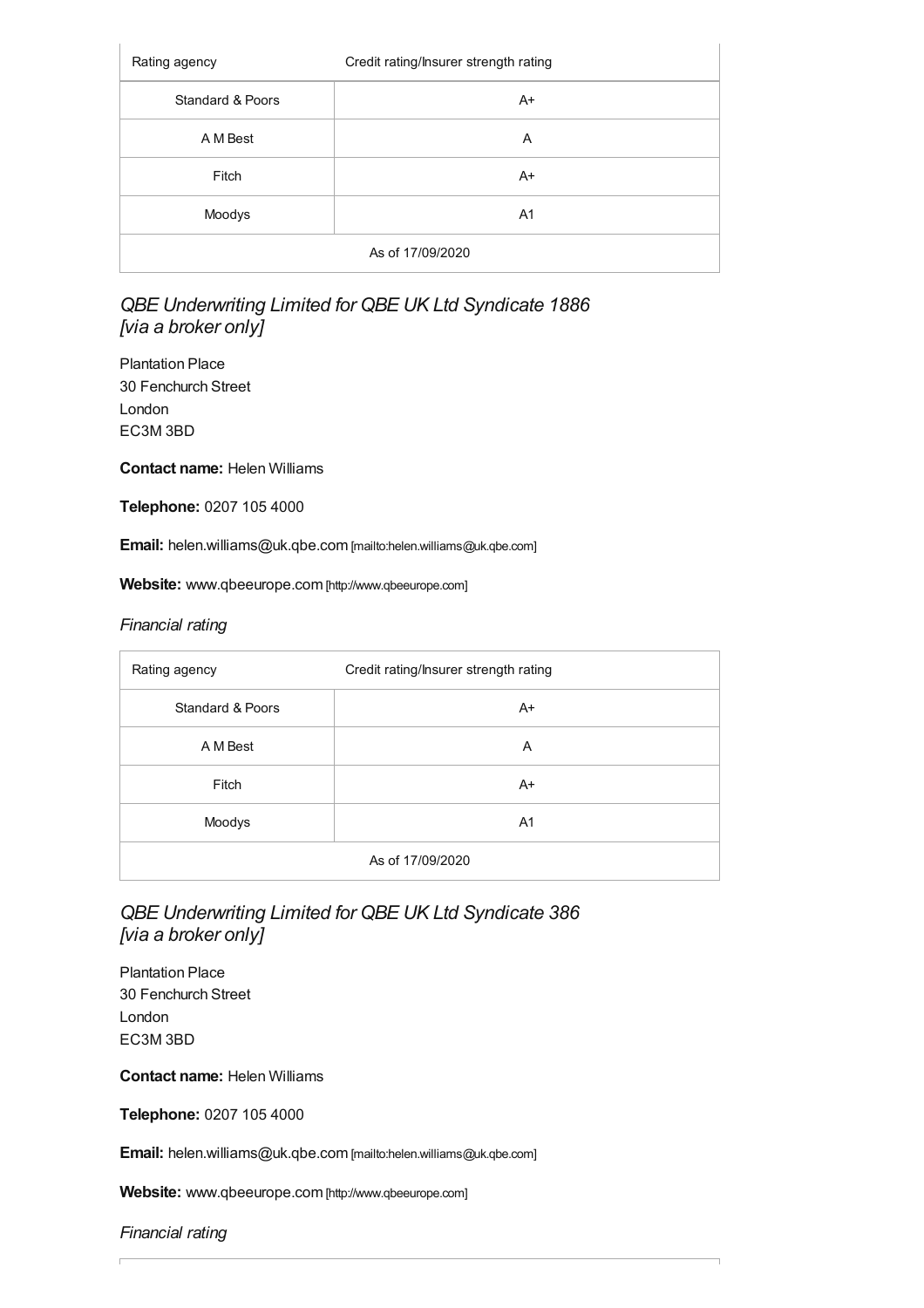| Rating agency               | Credit rating/Insurer strength rating |
|-----------------------------|---------------------------------------|
| <b>Standard &amp; Poors</b> | $A+$                                  |
| A M Best                    | A                                     |
| Fitch                       | $A+$                                  |
| Moodys                      | A1                                    |
| As of 17/09/2020            |                                       |

### *QBE Underwriting Limited for QBE UK Ltd Syndicate 1886 [via a broker only]*

Plantation Place 30 Fenchurch Street London EC3M 3BD

**Contact name:** Helen Williams

**Telephone:** 0207 105 4000

**Email:** [helen.williams@uk.qbe.com](mailto:helen.williams@uk.qbe.com) [mailto:helen.williams@uk.qbe.com]

**Website:** [www.qbeeurope.com](http://www.qbeeurope.com) [http://www.qbeeurope.com]

#### *Financial rating*

| Rating agency    | Credit rating/Insurer strength rating |
|------------------|---------------------------------------|
| Standard & Poors | $A+$                                  |
| A M Best         | A                                     |
| Fitch            | $A+$                                  |
| Moodys           | A <sub>1</sub>                        |
| As of 17/09/2020 |                                       |

### *QBE Underwriting Limited for QBE UK Ltd Syndicate 386 [via a broker only]*

Plantation Place 30 Fenchurch Street London EC3M 3BD

**Contact name:** Helen Williams

**Telephone:** 0207 105 4000

**Email:** [helen.williams@uk.qbe.com](mailto:helen.williams@uk.qbe.com) [mailto:helen.williams@uk.qbe.com]

**Website:** [www.qbeeurope.com](http://www.qbeeurope.com) [http://www.qbeeurope.com]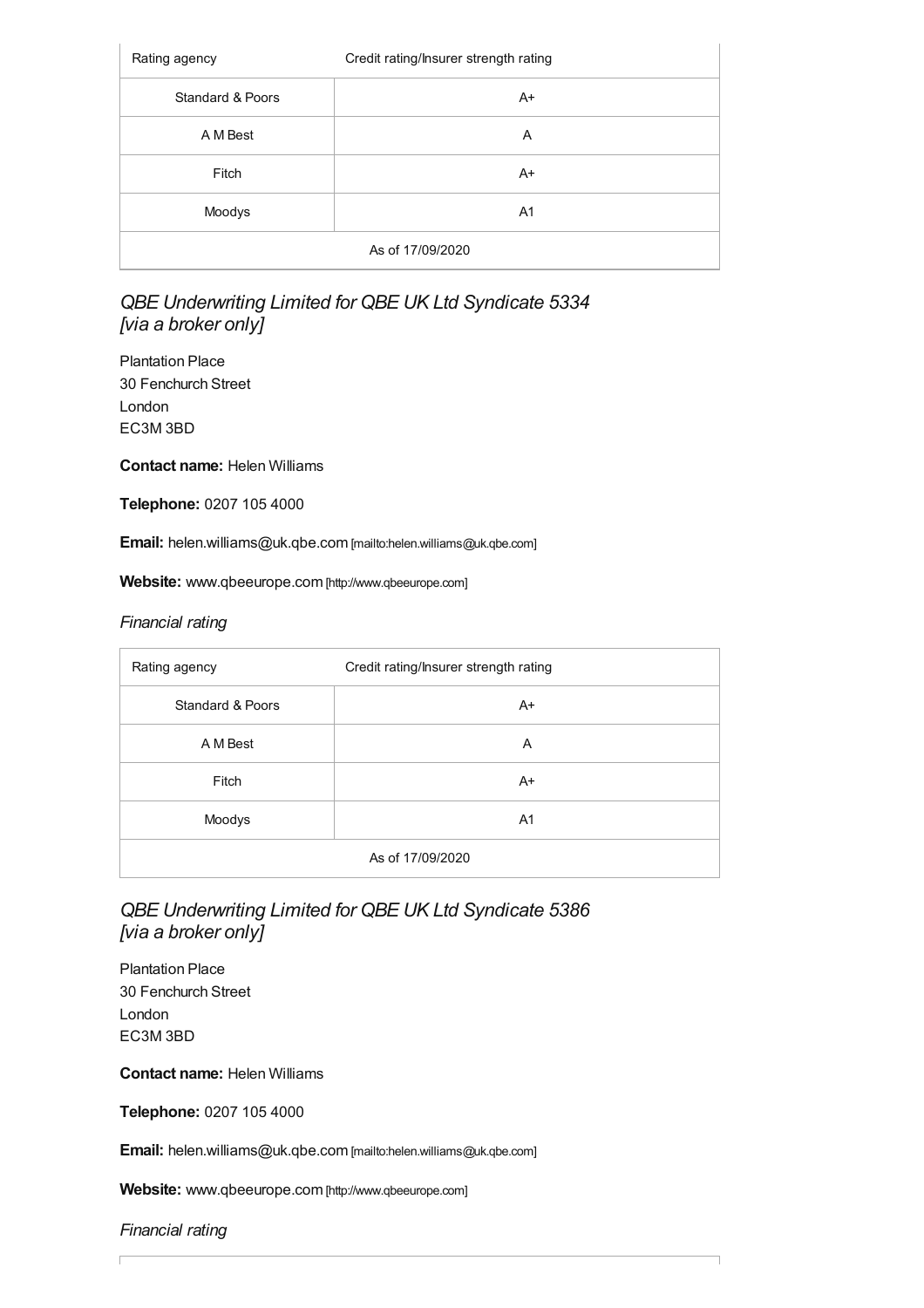| Rating agency    | Credit rating/Insurer strength rating |
|------------------|---------------------------------------|
| Standard & Poors | $A+$                                  |
| A M Best         | A                                     |
| Fitch            | $A+$                                  |
| Moodys           | A <sub>1</sub>                        |
| As of 17/09/2020 |                                       |

### *QBE Underwriting Limited for QBE UK Ltd Syndicate 5334 [via a broker only]*

Plantation Place 30 Fenchurch Street London EC3M 3BD

**Contact name:** Helen Williams

**Telephone:** 0207 105 4000

**Email:** [helen.williams@uk.qbe.com](mailto:helen.williams@uk.qbe.com) [mailto:helen.williams@uk.qbe.com]

**Website:** [www.qbeeurope.com](http://www.qbeeurope.com) [http://www.qbeeurope.com]

#### *Financial rating*

| Rating agency               | Credit rating/Insurer strength rating |
|-----------------------------|---------------------------------------|
| <b>Standard &amp; Poors</b> | $A+$                                  |
| A M Best                    | A                                     |
| Fitch                       | $A+$                                  |
| Moodys                      | A <sub>1</sub>                        |
| As of 17/09/2020            |                                       |

### *QBE Underwriting Limited for QBE UK Ltd Syndicate 5386 [via a broker only]*

Plantation Place 30 Fenchurch Street London EC3M 3BD

**Contact name:** Helen Williams

**Telephone:** 0207 105 4000

**Email:** [helen.williams@uk.qbe.com](mailto:helen.williams@uk.qbe.com) [mailto:helen.williams@uk.qbe.com]

**Website:** [www.qbeeurope.com](http://www.qbeeurope.com) [http://www.qbeeurope.com]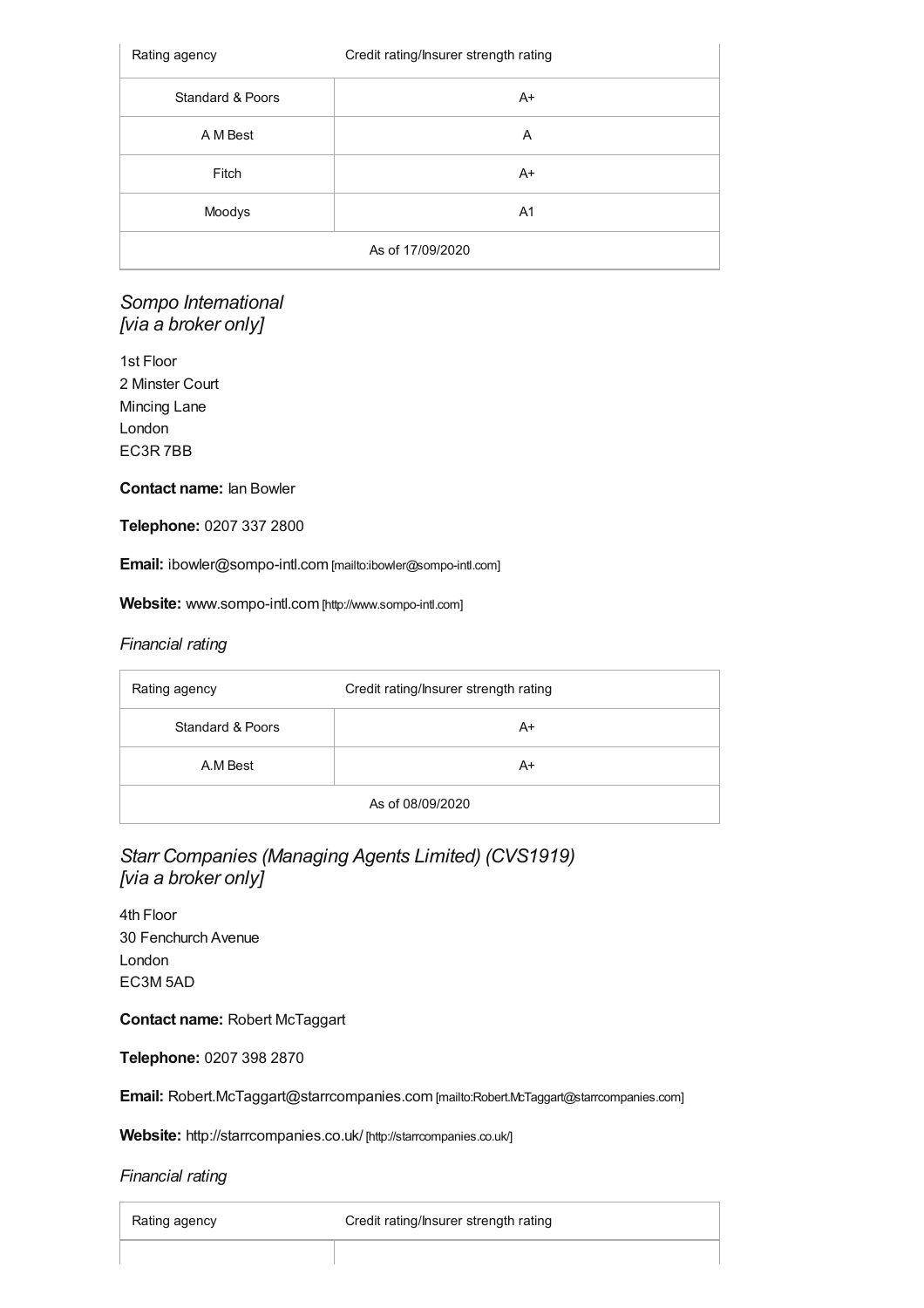| Rating agency    | Credit rating/Insurer strength rating |
|------------------|---------------------------------------|
| Standard & Poors | $A+$                                  |
| A M Best         | Α                                     |
| Fitch            | $A+$                                  |
| Moodys           | A <sub>1</sub>                        |
| As of 17/09/2020 |                                       |

### *Sompo International [via a broker only]*

1st Floor 2 Minster Court Mincing Lane London EC3R 7BB

#### **Contact name:** Ian Bowler

**Telephone:** 0207 337 2800

**Email:** [ibowler@sompo-intl.com](mailto:ibowler@sompo-intl.com) [mailto:ibowler@sompo-intl.com]

**Website:** [www.sompo-intl.com](http://www.sompo-intl.com) [http://www.sompo-intl.com]

#### *Financial rating*

| Rating agency    | Credit rating/Insurer strength rating |
|------------------|---------------------------------------|
| Standard & Poors | A+                                    |
| A.M Best         | A+                                    |
| As of 08/09/2020 |                                       |

### *Starr Companies (Managing Agents Limited) (CVS1919) [via a broker only]*

4th Floor 30 Fenchurch Avenue London EC3M 5AD

**Contact name:** Robert McTaggart

**Telephone:** 0207 398 2870

**Email:** [Robert.McTaggart@starrcompanies.com](mailto:Robert.McTaggart@starrcompanies.com) [mailto:Robert.McTaggart@starrcompanies.com]

**Website:** <http://starrcompanies.co.uk/> [http://starrcompanies.co.uk/]

| Rating agency | Credit rating/Insurer strength rating |
|---------------|---------------------------------------|
|               |                                       |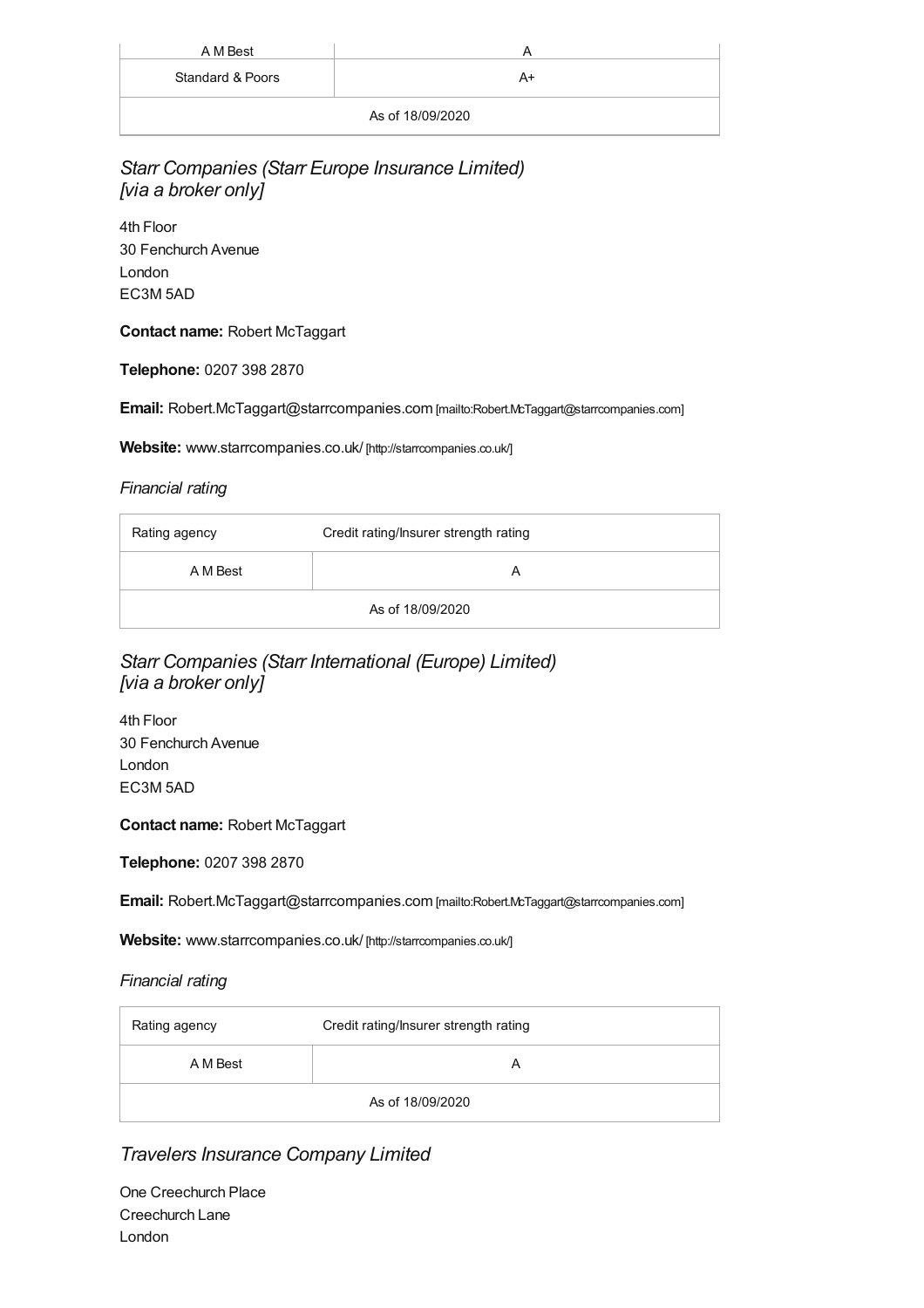| A M Best         | Р  |
|------------------|----|
| Standard & Poors | A+ |
| As of 18/09/2020 |    |

*Starr Companies (Starr Europe Insurance Limited) [via a broker only]*

4th Floor 30 Fenchurch Avenue London EC3M 5AD

**Contact name:** Robert McTaggart

**Telephone:** 0207 398 2870

**Email:** [Robert.McTaggart@starrcompanies.com](mailto:Robert.McTaggart@starrcompanies.com) [mailto:Robert.McTaggart@starrcompanies.com]

**Website:** [www.starrcompanies.co.uk/](http://starrcompanies.co.uk/) [http://starrcompanies.co.uk/]

#### *Financial rating*

| Rating agency    | Credit rating/Insurer strength rating |
|------------------|---------------------------------------|
| A M Best         |                                       |
| As of 18/09/2020 |                                       |

### *Starr Companies (Starr International (Europe) Limited) [via a broker only]*

4th Floor 30 Fenchurch Avenue London EC3M 5AD

**Contact name:** Robert McTaggart

**Telephone:** 0207 398 2870

**Email:** [Robert.McTaggart@starrcompanies.com](mailto:Robert.McTaggart@starrcompanies.com) [mailto:Robert.McTaggart@starrcompanies.com]

**Website:** [www.starrcompanies.co.uk/](http://starrcompanies.co.uk/) [http://starrcompanies.co.uk/]

#### *Financial rating*

| Rating agency    | Credit rating/Insurer strength rating |
|------------------|---------------------------------------|
| A M Best         |                                       |
| As of 18/09/2020 |                                       |

*Travelers Insurance Company Limited*

One Creechurch Place Creechurch Lane London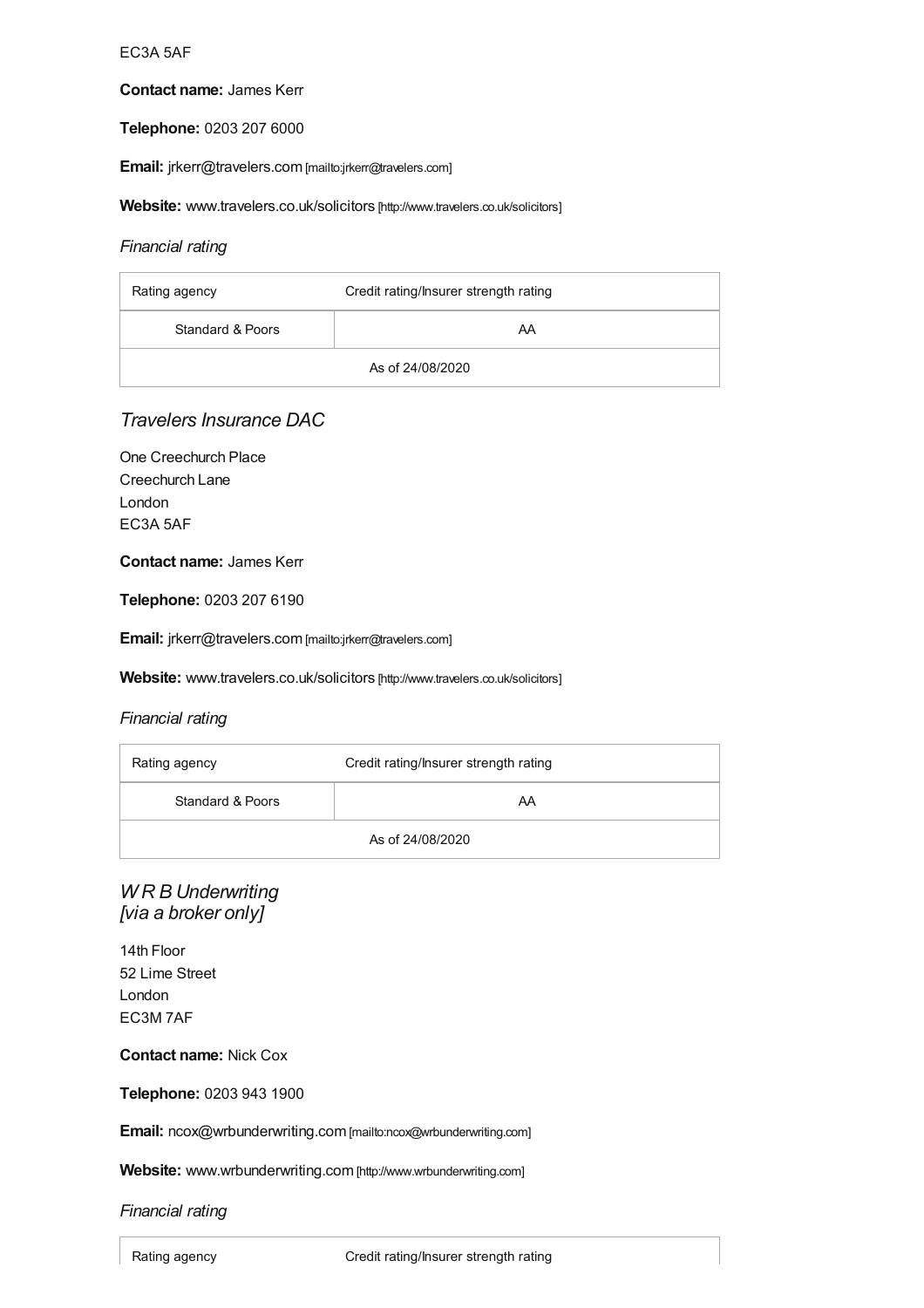#### EC3A 5AF

#### **Contact name:** James Kerr

#### **Telephone:** 0203 207 6000

**Email:** [jrkerr@travelers.com](mailto:jrkerr@travelers.com) [mailto:jrkerr@travelers.com]

**Website:** [www.travelers.co.uk/solicitors](http://www.travelers.co.uk/solicitors) [http://www.travelers.co.uk/solicitors]

#### *Financial rating*

| Rating agency    | Credit rating/Insurer strength rating |
|------------------|---------------------------------------|
| Standard & Poors | AA                                    |
| As of 24/08/2020 |                                       |

### *Travelers Insurance DAC*

One Creechurch Place Creechurch Lane London EC3A 5AF

#### **Contact name:** James Kerr

**Telephone:** 0203 207 6190

**Email:** [jrkerr@travelers.com](mailto:jrkerr@travelers.com) [mailto:jrkerr@travelers.com]

**Website:** [www.travelers.co.uk/solicitors](http://www.travelers.co.uk/solicitors) [http://www.travelers.co.uk/solicitors]

#### *Financial rating*

| Rating agency    | Credit rating/Insurer strength rating |
|------------------|---------------------------------------|
| Standard & Poors | AA                                    |
| As of 24/08/2020 |                                       |

### *W R B Underwriting [via a broker only]*

14th Floor 52 Lime Street London EC3M 7AF

#### **Contact name:** Nick Cox

**Telephone:** 0203 943 1900

**Email:** [ncox@wrbunderwriting.com](mailto:ncox@wrbunderwriting.com) [mailto:ncox@wrbunderwriting.com]

**Website:** [www.wrbunderwriting.com](http://www.wrbunderwriting.com) [http://www.wrbunderwriting.com]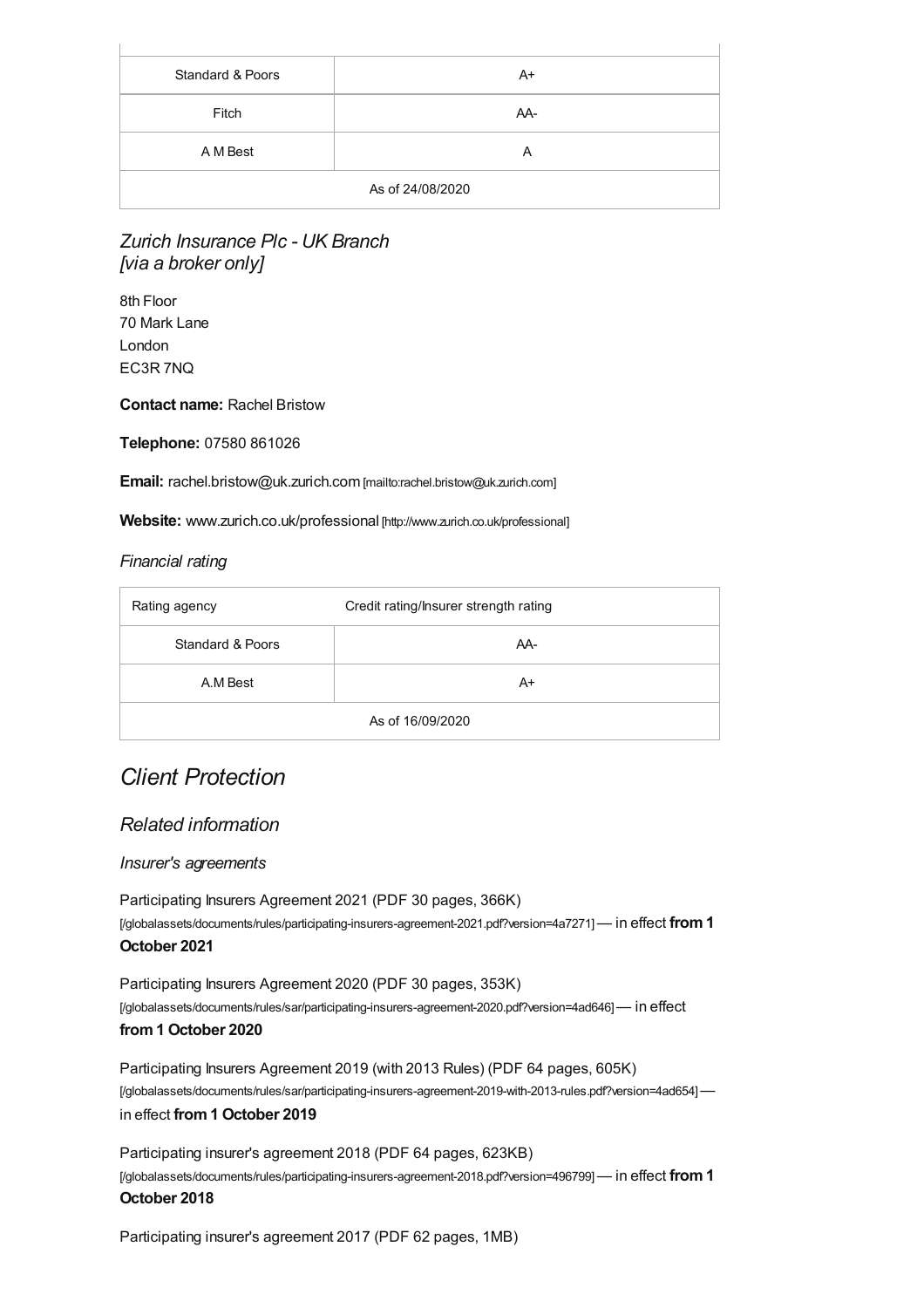| Standard & Poors | A+  |
|------------------|-----|
| Fitch            | AA- |
| A M Best         | Α   |
| As of 24/08/2020 |     |

### *Zurich Insurance Plc - UK Branch [via a broker only]*

8th Floor 70 Mark Lane London EC3R 7NQ

#### **Contact name:** Rachel Bristow

**Telephone:** 07580 861026

**Email:** [rachel.bristow@uk.zurich.com](mailto:rachel.bristow@uk.zurich.com) [mailto:rachel.bristow@uk.zurich.com]

**Website:** [www.zurich.co.uk/professional](http://www.zurich.co.uk/professional) [http://www.zurich.co.uk/professional]

#### *Financial rating*

| Rating agency    | Credit rating/Insurer strength rating |
|------------------|---------------------------------------|
| Standard & Poors | AA-                                   |
| A.M Best         | $A+$                                  |
| As of 16/09/2020 |                                       |

## *Client Protection*

### *Related information*

#### *Insurer's agreements*

Participating Insurers Agreement 2021 (PDF 30 pages, 366K) [\[/globalassets/documents/rules/participating-insurers-agreement-2021.pdf?version=4a7271\]](https://www.sra.org.uk/globalassets/documents/rules/participating-insurers-agreement-2021.pdf?version=4a7271)— in effect **from1 October 2021**

Participating Insurers Agreement 2020 (PDF 30 pages, 353K) [\[/globalassets/documents/rules/sar/participating-insurers-agreement-2020.pdf?version=4ad646\]](https://www.sra.org.uk/globalassets/documents/rules/sar/participating-insurers-agreement-2020.pdf?version=4ad646)— in effect **from1 October 2020**

Participating Insurers Agreement 2019 (with 2013 Rules) (PDF 64 pages, 605K) [\[/globalassets/documents/rules/sar/participating-insurers-agreement-2019-with-2013-rules.pdf?version=4ad654\]](https://www.sra.org.uk/globalassets/documents/rules/sar/participating-insurers-agreement-2019-with-2013-rules.pdf?version=4ad654) in effect **from1 October 2019**

Participating insurer's agreement 2018 (PDF 64 pages, 623KB) [\[/globalassets/documents/rules/participating-insurers-agreement-2018.pdf?version=496799\]](https://www.sra.org.uk/globalassets/documents/rules/participating-insurers-agreement-2018.pdf?version=496799)— in effect **from1 October 2018**

[Participating](https://www.sra.org.uk/globalassets/documents/rules/participating-insurers-agreement-2017.pdf?version=49674c) insurer's agreement 2017 (PDF 62 pages, 1MB)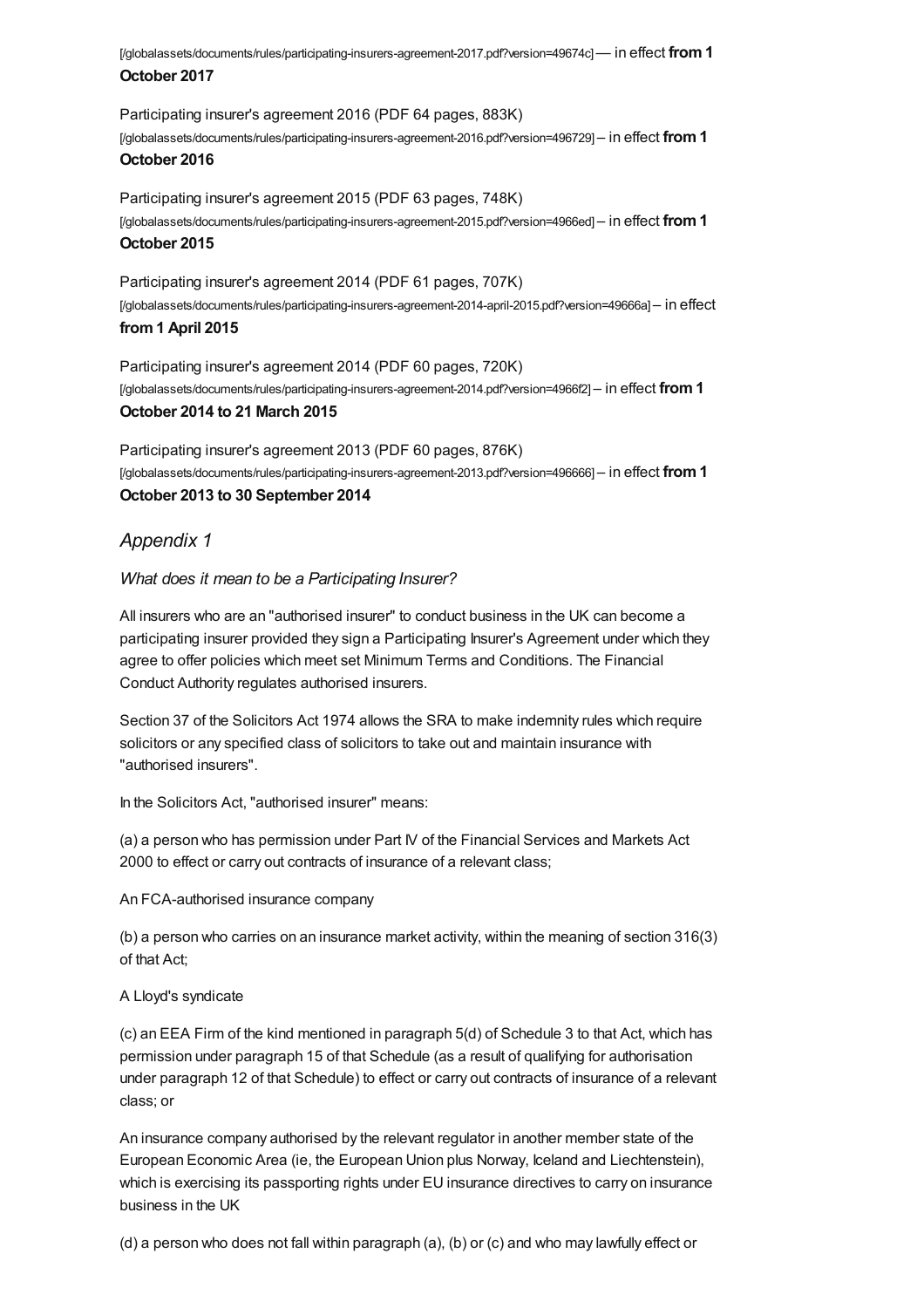[/globalassets/documents/rules/participating-insurers-agreement-2017.pdf?version=49674c]— in effect **from1 October 2017**

Participating insurer's agreement 2016 (PDF 64 pages, 883K) [\[/globalassets/documents/rules/participating-insurers-agreement-2016.pdf?version=496729\]](https://www.sra.org.uk/globalassets/documents/rules/participating-insurers-agreement-2016.pdf?version=496729) – in effect **from1 October 2016**

Participating insurer's agreement 2015 (PDF 63 pages, 748K) [\[/globalassets/documents/rules/participating-insurers-agreement-2015.pdf?version=4966ed\]](https://www.sra.org.uk/globalassets/documents/rules/participating-insurers-agreement-2015.pdf?version=4966ed) – in effect **from1 October 2015**

Participating insurer's agreement 2014 (PDF 61 pages, 707K) [\[/globalassets/documents/rules/participating-insurers-agreement-2014-april-2015.pdf?version=49666a\]](https://www.sra.org.uk/globalassets/documents/rules/participating-insurers-agreement-2014-april-2015.pdf?version=49666a) – in effect **from1 April 2015**

Participating insurer's agreement 2014 (PDF 60 pages, 720K) [\[/globalassets/documents/rules/participating-insurers-agreement-2014.pdf?version=4966f2\]](https://www.sra.org.uk/globalassets/documents/rules/participating-insurers-agreement-2014.pdf?version=4966f2) – in effect **from1 October 2014 to 21 March 2015**

Participating insurer's agreement 2013 (PDF 60 pages, 876K) [\[/globalassets/documents/rules/participating-insurers-agreement-2013.pdf?version=496666\]](https://www.sra.org.uk/globalassets/documents/rules/participating-insurers-agreement-2013.pdf?version=496666) – in effect **from1 October 2013 to 30 September 2014**

#### <span id="page-32-0"></span>*Appendix 1*

*What does it mean to be a Participating Insurer?*

All insurers who are an "authorised insurer" to conduct business in the UK can become a participating insurer provided they sign a Participating Insurer's Agreement under which they agree to offer policies which meet set Minimum Terms and Conditions. The Financial Conduct Authority regulates authorised insurers.

Section 37 of the Solicitors Act 1974 allows the SRA to make indemnity rules which require solicitors or any specified class of solicitors to take out and maintain insurance with "authorised insurers".

In the Solicitors Act, "authorised insurer" means:

(a) a person who has permission under Part IV of the Financial Services and Markets Act 2000 to effect or carry out contracts of insurance of a relevant class;

An FCA-authorised insurance company

(b) a person who carries on an insurance market activity, within the meaning of section 316(3) of that Act;

#### A Lloyd's syndicate

(c) an EEA Firm of the kind mentioned in paragraph 5(d) of Schedule 3 to that Act, which has permission under paragraph 15 of that Schedule (as a result of qualifying for authorisation under paragraph 12 of that Schedule) to effect or carry out contracts of insurance of a relevant class; or

An insurance company authorised by the relevant regulator in another member state of the European Economic Area (ie, the European Union plus Norway, Iceland and Liechtenstein), which is exercising its passporting rights under EU insurance directives to carry on insurance business in the UK

(d) a person who does not fall within paragraph (a), (b) or (c) and who may lawfully effect or